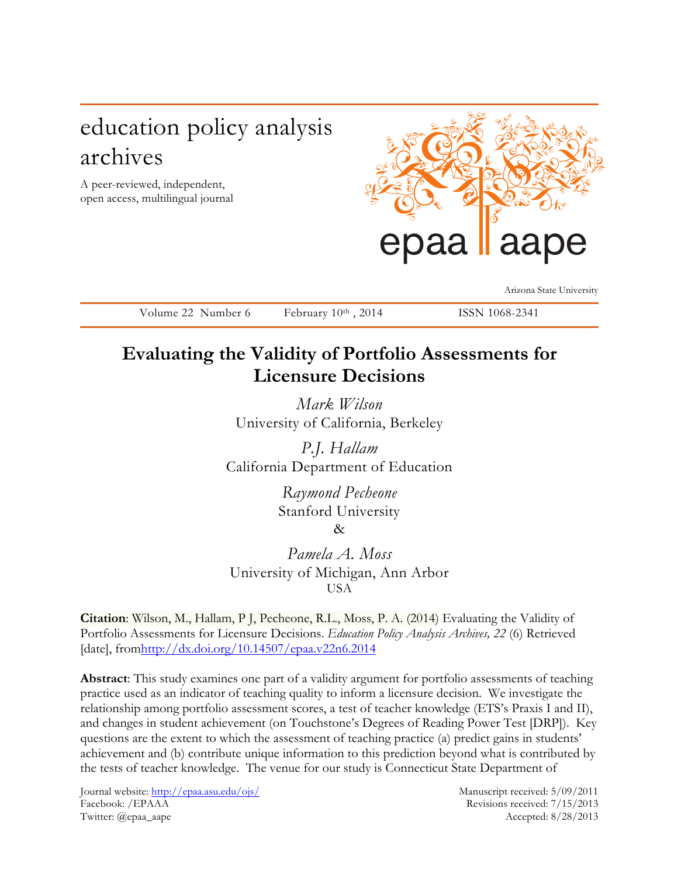# education policy analysis archives

A peer-reviewed, independent, open access, multilingual journal



Arizona State University

Volume 22 Number 6 February 10th, 2014 ISSN 1068-2341

# **Evaluating the Validity of Portfolio Assessments for Licensure Decisions**

*Mark Wilson* University of California, Berkeley

*P.J. Hallam* California Department of Education

> *Raymond Pecheone* Stanford University &

*Pamela A. Moss* University of Michigan, Ann Arbor USA

**Citation**: Wilson, M., Hallam, P J, Pecheone, R.L., Moss, P. A. (2014) Evaluating the Validity of Portfolio Assessments for Licensure Decisions. *Education Policy Analysis Archives, 22* (6) Retrieved [date], fromhttp://dx.doi.org/10.14507/epaa.v22n6.2014

**Abstract**: This study examines one part of a validity argument for portfolio assessments of teaching practice used as an indicator of teaching quality to inform a licensure decision. We investigate the relationship among portfolio assessment scores, a test of teacher knowledge (ETS's Praxis I and II), and changes in student achievement (on Touchstone's Degrees of Reading Power Test [DRP]). Key questions are the extent to which the assessment of teaching practice (a) predict gains in students' achievement and (b) contribute unique information to this prediction beyond what is contributed by the tests of teacher knowledge. The venue for our study is Connecticut State Department of

Journal website: http://epaa.asu.edu/ojs/ Manuscript received: 5/09/2011 Facebook: /EPAAA Revisions received: 7/15/2013 Twitter: @epaa\_aape Accepted: 8/28/2013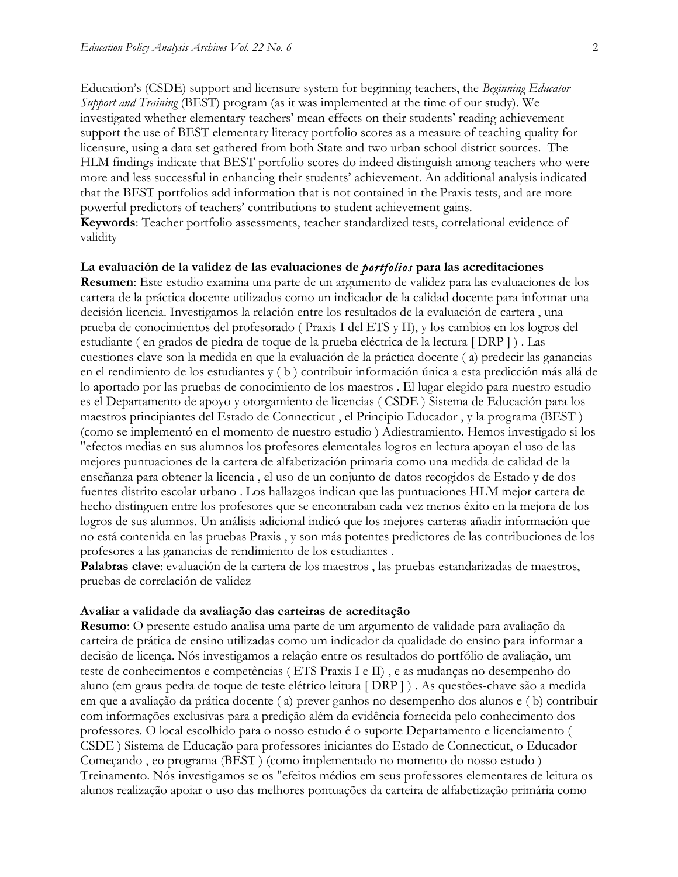Education's (CSDE) support and licensure system for beginning teachers, the *Beginning Educator Support and Training* (BEST) program (as it was implemented at the time of our study). We investigated whether elementary teachers' mean effects on their students' reading achievement support the use of BEST elementary literacy portfolio scores as a measure of teaching quality for licensure, using a data set gathered from both State and two urban school district sources. The HLM findings indicate that BEST portfolio scores do indeed distinguish among teachers who were more and less successful in enhancing their students' achievement. An additional analysis indicated that the BEST portfolios add information that is not contained in the Praxis tests, and are more powerful predictors of teachers' contributions to student achievement gains. **Keywords**: Teacher portfolio assessments, teacher standardized tests, correlational evidence of validity

# **La evaluación de la validez de las evaluaciones de** *portfolios* **para las acreditaciones**

**Resumen**: Este estudio examina una parte de un argumento de validez para las evaluaciones de los cartera de la práctica docente utilizados como un indicador de la calidad docente para informar una decisión licencia. Investigamos la relación entre los resultados de la evaluación de cartera , una prueba de conocimientos del profesorado ( Praxis I del ETS y II), y los cambios en los logros del estudiante ( en grados de piedra de toque de la prueba eléctrica de la lectura [ DRP ] ) . Las cuestiones clave son la medida en que la evaluación de la práctica docente ( a) predecir las ganancias en el rendimiento de los estudiantes y ( b ) contribuir información única a esta predicción más allá de lo aportado por las pruebas de conocimiento de los maestros . El lugar elegido para nuestro estudio es el Departamento de apoyo y otorgamiento de licencias ( CSDE ) Sistema de Educación para los maestros principiantes del Estado de Connecticut , el Principio Educador , y la programa (BEST ) (como se implementó en el momento de nuestro estudio ) Adiestramiento. Hemos investigado si los "efectos medias en sus alumnos los profesores elementales logros en lectura apoyan el uso de las mejores puntuaciones de la cartera de alfabetización primaria como una medida de calidad de la enseñanza para obtener la licencia , el uso de un conjunto de datos recogidos de Estado y de dos fuentes distrito escolar urbano . Los hallazgos indican que las puntuaciones HLM mejor cartera de hecho distinguen entre los profesores que se encontraban cada vez menos éxito en la mejora de los logros de sus alumnos. Un análisis adicional indicó que los mejores carteras añadir información que no está contenida en las pruebas Praxis , y son más potentes predictores de las contribuciones de los profesores a las ganancias de rendimiento de los estudiantes .

**Palabras clave**: evaluación de la cartera de los maestros , las pruebas estandarizadas de maestros, pruebas de correlación de validez

#### **Avaliar a validade da avaliação das carteiras de acreditação**

**Resumo**: O presente estudo analisa uma parte de um argumento de validade para avaliação da carteira de prática de ensino utilizadas como um indicador da qualidade do ensino para informar a decisão de licença. Nós investigamos a relação entre os resultados do portfólio de avaliação, um teste de conhecimentos e competências ( ETS Praxis I e II) , e as mudanças no desempenho do aluno (em graus pedra de toque de teste elétrico leitura [ DRP ] ) . As questões-chave são a medida em que a avaliação da prática docente ( a) prever ganhos no desempenho dos alunos e ( b) contribuir com informações exclusivas para a predição além da evidência fornecida pelo conhecimento dos professores. O local escolhido para o nosso estudo é o suporte Departamento e licenciamento ( CSDE ) Sistema de Educação para professores iniciantes do Estado de Connecticut, o Educador Começando , eo programa (BEST ) (como implementado no momento do nosso estudo ) Treinamento. Nós investigamos se os "efeitos médios em seus professores elementares de leitura os alunos realização apoiar o uso das melhores pontuações da carteira de alfabetização primária como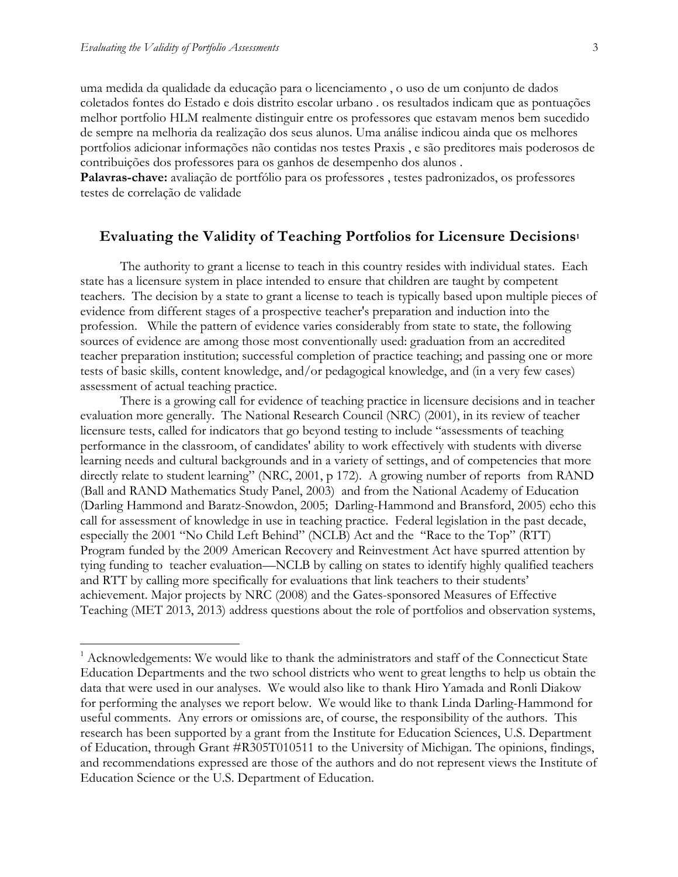uma medida da qualidade da educação para o licenciamento , o uso de um conjunto de dados coletados fontes do Estado e dois distrito escolar urbano . os resultados indicam que as pontuações melhor portfolio HLM realmente distinguir entre os professores que estavam menos bem sucedido de sempre na melhoria da realização dos seus alunos. Uma análise indicou ainda que os melhores portfolios adicionar informações não contidas nos testes Praxis , e são preditores mais poderosos de contribuições dos professores para os ganhos de desempenho dos alunos .

**Palavras-chave:** avaliação de portfólio para os professores , testes padronizados, os professores testes de correlação de validade

# **Evaluating the Validity of Teaching Portfolios for Licensure Decisions1**

The authority to grant a license to teach in this country resides with individual states. Each state has a licensure system in place intended to ensure that children are taught by competent teachers. The decision by a state to grant a license to teach is typically based upon multiple pieces of evidence from different stages of a prospective teacher's preparation and induction into the profession. While the pattern of evidence varies considerably from state to state, the following sources of evidence are among those most conventionally used: graduation from an accredited teacher preparation institution; successful completion of practice teaching; and passing one or more tests of basic skills, content knowledge, and/or pedagogical knowledge, and (in a very few cases) assessment of actual teaching practice.

There is a growing call for evidence of teaching practice in licensure decisions and in teacher evaluation more generally. The National Research Council (NRC) (2001), in its review of teacher licensure tests, called for indicators that go beyond testing to include "assessments of teaching performance in the classroom, of candidates' ability to work effectively with students with diverse learning needs and cultural backgrounds and in a variety of settings, and of competencies that more directly relate to student learning" (NRC, 2001, p 172). A growing number of reports from RAND (Ball and RAND Mathematics Study Panel, 2003) and from the National Academy of Education (Darling Hammond and Baratz-Snowdon, 2005; Darling-Hammond and Bransford, 2005) echo this call for assessment of knowledge in use in teaching practice. Federal legislation in the past decade, especially the 2001 "No Child Left Behind" (NCLB) Act and the "Race to the Top" (RTT) Program funded by the 2009 American Recovery and Reinvestment Act have spurred attention by tying funding to teacher evaluation—NCLB by calling on states to identify highly qualified teachers and RTT by calling more specifically for evaluations that link teachers to their students' achievement. Major projects by NRC (2008) and the Gates-sponsored Measures of Effective Teaching (MET 2013, 2013) address questions about the role of portfolios and observation systems,

 $1$  Acknowledgements: We would like to thank the administrators and staff of the Connecticut State Education Departments and the two school districts who went to great lengths to help us obtain the data that were used in our analyses. We would also like to thank Hiro Yamada and Ronli Diakow for performing the analyses we report below. We would like to thank Linda Darling-Hammond for useful comments. Any errors or omissions are, of course, the responsibility of the authors. This research has been supported by a grant from the Institute for Education Sciences, U.S. Department of Education, through Grant #R305T010511 to the University of Michigan. The opinions, findings, and recommendations expressed are those of the authors and do not represent views the Institute of Education Science or the U.S. Department of Education.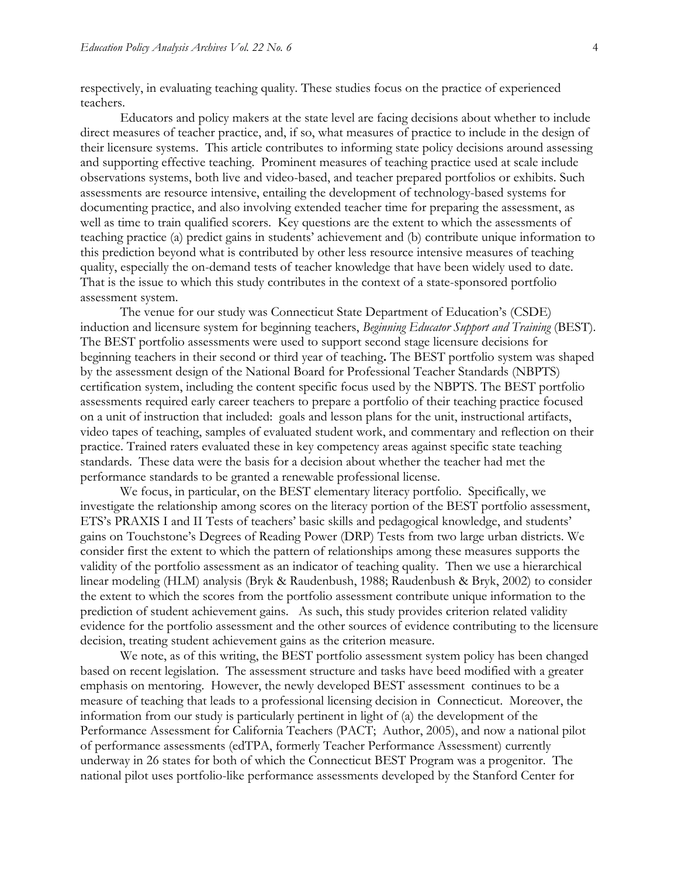respectively, in evaluating teaching quality. These studies focus on the practice of experienced teachers.

Educators and policy makers at the state level are facing decisions about whether to include direct measures of teacher practice, and, if so, what measures of practice to include in the design of their licensure systems. This article contributes to informing state policy decisions around assessing and supporting effective teaching. Prominent measures of teaching practice used at scale include observations systems, both live and video-based, and teacher prepared portfolios or exhibits. Such assessments are resource intensive, entailing the development of technology-based systems for documenting practice, and also involving extended teacher time for preparing the assessment, as well as time to train qualified scorers. Key questions are the extent to which the assessments of teaching practice (a) predict gains in students' achievement and (b) contribute unique information to this prediction beyond what is contributed by other less resource intensive measures of teaching quality, especially the on-demand tests of teacher knowledge that have been widely used to date. That is the issue to which this study contributes in the context of a state-sponsored portfolio assessment system.

The venue for our study was Connecticut State Department of Education's (CSDE) induction and licensure system for beginning teachers, *Beginning Educator Support and Training* (BEST). The BEST portfolio assessments were used to support second stage licensure decisions for beginning teachers in their second or third year of teaching**.** The BEST portfolio system was shaped by the assessment design of the National Board for Professional Teacher Standards (NBPTS) certification system, including the content specific focus used by the NBPTS. The BEST portfolio assessments required early career teachers to prepare a portfolio of their teaching practice focused on a unit of instruction that included: goals and lesson plans for the unit, instructional artifacts, video tapes of teaching, samples of evaluated student work, and commentary and reflection on their practice. Trained raters evaluated these in key competency areas against specific state teaching standards. These data were the basis for a decision about whether the teacher had met the performance standards to be granted a renewable professional license.

We focus, in particular, on the BEST elementary literacy portfolio. Specifically, we investigate the relationship among scores on the literacy portion of the BEST portfolio assessment, ETS's PRAXIS I and II Tests of teachers' basic skills and pedagogical knowledge, and students' gains on Touchstone's Degrees of Reading Power (DRP) Tests from two large urban districts. We consider first the extent to which the pattern of relationships among these measures supports the validity of the portfolio assessment as an indicator of teaching quality. Then we use a hierarchical linear modeling (HLM) analysis (Bryk & Raudenbush, 1988; Raudenbush & Bryk, 2002) to consider the extent to which the scores from the portfolio assessment contribute unique information to the prediction of student achievement gains. As such, this study provides criterion related validity evidence for the portfolio assessment and the other sources of evidence contributing to the licensure decision, treating student achievement gains as the criterion measure.

We note, as of this writing, the BEST portfolio assessment system policy has been changed based on recent legislation. The assessment structure and tasks have beed modified with a greater emphasis on mentoring. However, the newly developed BEST assessment continues to be a measure of teaching that leads to a professional licensing decision in Connecticut. Moreover, the information from our study is particularly pertinent in light of (a) the development of the Performance Assessment for California Teachers (PACT; Author, 2005), and now a national pilot of performance assessments (edTPA, formerly Teacher Performance Assessment) currently underway in 26 states for both of which the Connecticut BEST Program was a progenitor. The national pilot uses portfolio-like performance assessments developed by the Stanford Center for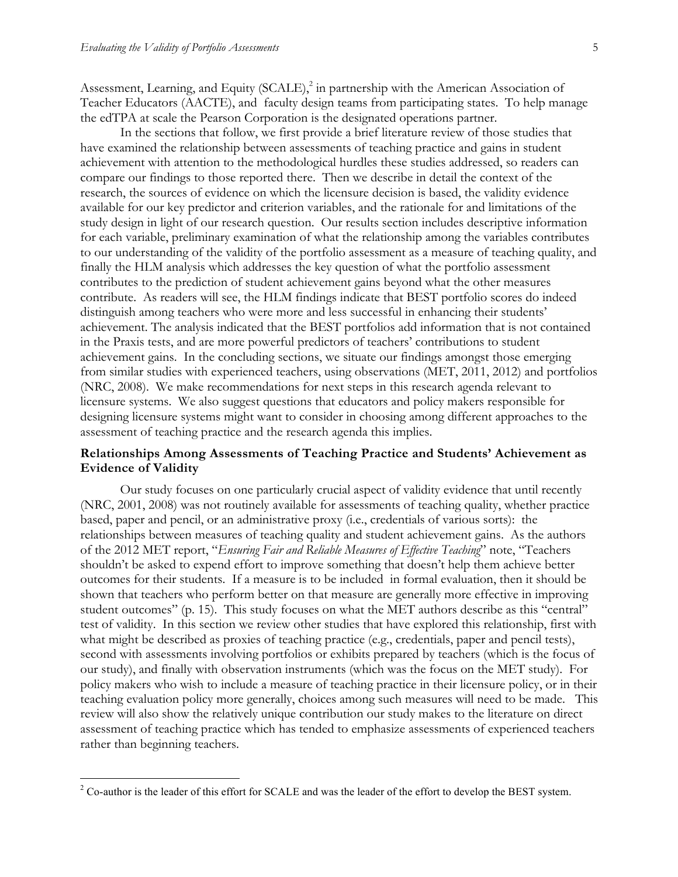Assessment, Learning, and Equity (SCALE),<sup>2</sup> in partnership with the American Association of Teacher Educators (AACTE), and faculty design teams from participating states. To help manage the edTPA at scale the Pearson Corporation is the designated operations partner.

In the sections that follow, we first provide a brief literature review of those studies that have examined the relationship between assessments of teaching practice and gains in student achievement with attention to the methodological hurdles these studies addressed, so readers can compare our findings to those reported there. Then we describe in detail the context of the research, the sources of evidence on which the licensure decision is based, the validity evidence available for our key predictor and criterion variables, and the rationale for and limitations of the study design in light of our research question. Our results section includes descriptive information for each variable, preliminary examination of what the relationship among the variables contributes to our understanding of the validity of the portfolio assessment as a measure of teaching quality, and finally the HLM analysis which addresses the key question of what the portfolio assessment contributes to the prediction of student achievement gains beyond what the other measures contribute. As readers will see, the HLM findings indicate that BEST portfolio scores do indeed distinguish among teachers who were more and less successful in enhancing their students' achievement. The analysis indicated that the BEST portfolios add information that is not contained in the Praxis tests, and are more powerful predictors of teachers' contributions to student achievement gains. In the concluding sections, we situate our findings amongst those emerging from similar studies with experienced teachers, using observations (MET, 2011, 2012) and portfolios (NRC, 2008). We make recommendations for next steps in this research agenda relevant to licensure systems. We also suggest questions that educators and policy makers responsible for designing licensure systems might want to consider in choosing among different approaches to the assessment of teaching practice and the research agenda this implies.

# **Relationships Among Assessments of Teaching Practice and Students' Achievement as Evidence of Validity**

Our study focuses on one particularly crucial aspect of validity evidence that until recently (NRC, 2001, 2008) was not routinely available for assessments of teaching quality, whether practice based, paper and pencil, or an administrative proxy (i.e., credentials of various sorts): the relationships between measures of teaching quality and student achievement gains. As the authors of the 2012 MET report, "*Ensuring Fair and Reliable Measures of Effective Teaching*" note, "Teachers shouldn't be asked to expend effort to improve something that doesn't help them achieve better outcomes for their students. If a measure is to be included in formal evaluation, then it should be shown that teachers who perform better on that measure are generally more effective in improving student outcomes" (p. 15). This study focuses on what the MET authors describe as this "central" test of validity. In this section we review other studies that have explored this relationship, first with what might be described as proxies of teaching practice (e.g., credentials, paper and pencil tests), second with assessments involving portfolios or exhibits prepared by teachers (which is the focus of our study), and finally with observation instruments (which was the focus on the MET study). For policy makers who wish to include a measure of teaching practice in their licensure policy, or in their teaching evaluation policy more generally, choices among such measures will need to be made. This review will also show the relatively unique contribution our study makes to the literature on direct assessment of teaching practice which has tended to emphasize assessments of experienced teachers rather than beginning teachers.

 $2^2$  Co-author is the leader of this effort for SCALE and was the leader of the effort to develop the BEST system.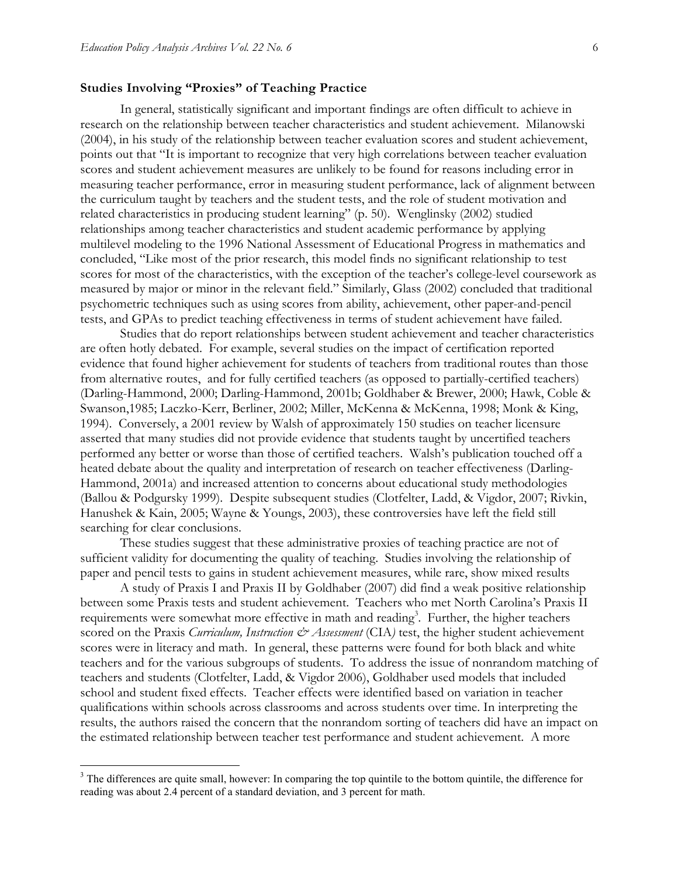### **Studies Involving "Proxies" of Teaching Practice**

In general, statistically significant and important findings are often difficult to achieve in research on the relationship between teacher characteristics and student achievement. Milanowski (2004), in his study of the relationship between teacher evaluation scores and student achievement, points out that "It is important to recognize that very high correlations between teacher evaluation scores and student achievement measures are unlikely to be found for reasons including error in measuring teacher performance, error in measuring student performance, lack of alignment between the curriculum taught by teachers and the student tests, and the role of student motivation and related characteristics in producing student learning" (p. 50). Wenglinsky (2002) studied relationships among teacher characteristics and student academic performance by applying multilevel modeling to the 1996 National Assessment of Educational Progress in mathematics and concluded, "Like most of the prior research, this model finds no significant relationship to test scores for most of the characteristics, with the exception of the teacher's college-level coursework as measured by major or minor in the relevant field." Similarly, Glass (2002) concluded that traditional psychometric techniques such as using scores from ability, achievement, other paper-and-pencil tests, and GPAs to predict teaching effectiveness in terms of student achievement have failed.

Studies that do report relationships between student achievement and teacher characteristics are often hotly debated. For example, several studies on the impact of certification reported evidence that found higher achievement for students of teachers from traditional routes than those from alternative routes, and for fully certified teachers (as opposed to partially-certified teachers) (Darling-Hammond, 2000; Darling-Hammond, 2001b; Goldhaber & Brewer, 2000; Hawk, Coble & Swanson,1985; Laczko-Kerr, Berliner, 2002; Miller, McKenna & McKenna, 1998; Monk & King, 1994). Conversely, a 2001 review by Walsh of approximately 150 studies on teacher licensure asserted that many studies did not provide evidence that students taught by uncertified teachers performed any better or worse than those of certified teachers. Walsh's publication touched off a heated debate about the quality and interpretation of research on teacher effectiveness (Darling-Hammond, 2001a) and increased attention to concerns about educational study methodologies (Ballou & Podgursky 1999). Despite subsequent studies (Clotfelter, Ladd, & Vigdor, 2007; Rivkin, Hanushek & Kain, 2005; Wayne & Youngs, 2003), these controversies have left the field still searching for clear conclusions.

These studies suggest that these administrative proxies of teaching practice are not of sufficient validity for documenting the quality of teaching. Studies involving the relationship of paper and pencil tests to gains in student achievement measures, while rare, show mixed results

A study of Praxis I and Praxis II by Goldhaber (2007) did find a weak positive relationship between some Praxis tests and student achievement. Teachers who met North Carolina's Praxis II requirements were somewhat more effective in math and reading<sup>3</sup>. Further, the higher teachers scored on the Praxis *Curriculum*, Instruction  $\mathcal{O}$  Assessment (CIA) test, the higher student achievement scores were in literacy and math. In general, these patterns were found for both black and white teachers and for the various subgroups of students. To address the issue of nonrandom matching of teachers and students (Clotfelter, Ladd, & Vigdor 2006), Goldhaber used models that included school and student fixed effects. Teacher effects were identified based on variation in teacher qualifications within schools across classrooms and across students over time. In interpreting the results, the authors raised the concern that the nonrandom sorting of teachers did have an impact on the estimated relationship between teacher test performance and student achievement. A more

<sup>&</sup>lt;sup>3</sup> The differences are quite small, however: In comparing the top quintile to the bottom quintile, the difference for reading was about 2.4 percent of a standard deviation, and 3 percent for math.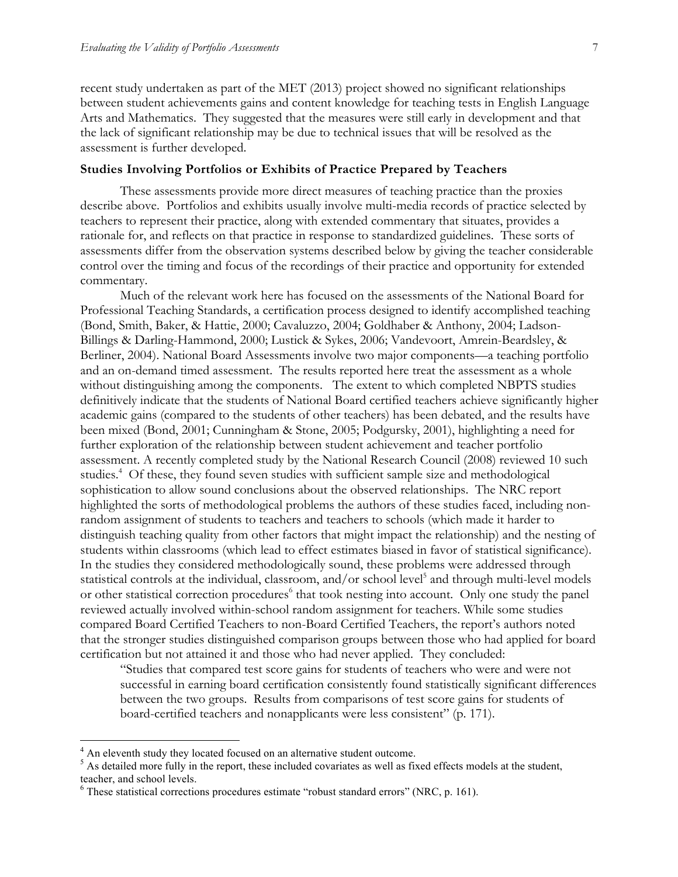recent study undertaken as part of the MET (2013) project showed no significant relationships between student achievements gains and content knowledge for teaching tests in English Language Arts and Mathematics. They suggested that the measures were still early in development and that the lack of significant relationship may be due to technical issues that will be resolved as the assessment is further developed.

#### **Studies Involving Portfolios or Exhibits of Practice Prepared by Teachers**

These assessments provide more direct measures of teaching practice than the proxies describe above. Portfolios and exhibits usually involve multi-media records of practice selected by teachers to represent their practice, along with extended commentary that situates, provides a rationale for, and reflects on that practice in response to standardized guidelines. These sorts of assessments differ from the observation systems described below by giving the teacher considerable control over the timing and focus of the recordings of their practice and opportunity for extended commentary.

Much of the relevant work here has focused on the assessments of the National Board for Professional Teaching Standards, a certification process designed to identify accomplished teaching (Bond, Smith, Baker, & Hattie, 2000; Cavaluzzo, 2004; Goldhaber & Anthony, 2004; Ladson-Billings & Darling-Hammond, 2000; Lustick & Sykes, 2006; Vandevoort, Amrein-Beardsley, & Berliner, 2004). National Board Assessments involve two major components—a teaching portfolio and an on-demand timed assessment. The results reported here treat the assessment as a whole without distinguishing among the components. The extent to which completed NBPTS studies definitively indicate that the students of National Board certified teachers achieve significantly higher academic gains (compared to the students of other teachers) has been debated, and the results have been mixed (Bond, 2001; Cunningham & Stone, 2005; Podgursky, 2001), highlighting a need for further exploration of the relationship between student achievement and teacher portfolio assessment. A recently completed study by the National Research Council (2008) reviewed 10 such studies.<sup>4</sup> Of these, they found seven studies with sufficient sample size and methodological sophistication to allow sound conclusions about the observed relationships. The NRC report highlighted the sorts of methodological problems the authors of these studies faced, including nonrandom assignment of students to teachers and teachers to schools (which made it harder to distinguish teaching quality from other factors that might impact the relationship) and the nesting of students within classrooms (which lead to effect estimates biased in favor of statistical significance). In the studies they considered methodologically sound, these problems were addressed through statistical controls at the individual, classroom, and/or school level<sup>5</sup> and through multi-level models or other statistical correction procedures<sup>6</sup> that took nesting into account. Only one study the panel reviewed actually involved within-school random assignment for teachers. While some studies compared Board Certified Teachers to non-Board Certified Teachers, the report's authors noted that the stronger studies distinguished comparison groups between those who had applied for board certification but not attained it and those who had never applied. They concluded:

"Studies that compared test score gains for students of teachers who were and were not successful in earning board certification consistently found statistically significant differences between the two groups. Results from comparisons of test score gains for students of board-certified teachers and nonapplicants were less consistent" (p. 171).

<sup>&</sup>lt;sup>4</sup> An eleventh study they located focused on an alternative student outcome.

<sup>&</sup>lt;sup>5</sup> As detailed more fully in the report, these included covariates as well as fixed effects models at the student, teacher, and school levels.

 $6$  These statistical corrections procedures estimate "robust standard errors" (NRC, p. 161).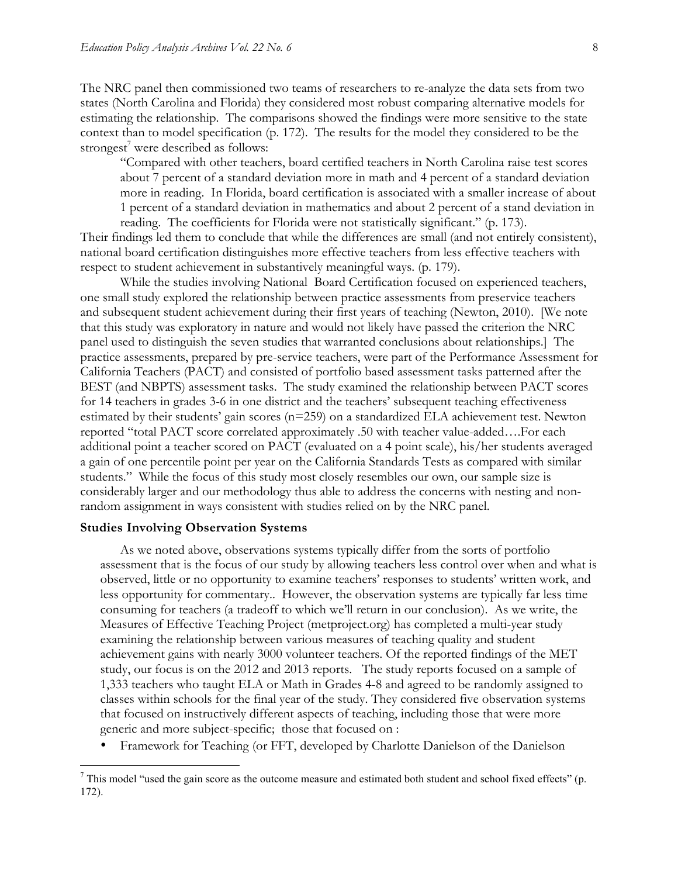The NRC panel then commissioned two teams of researchers to re-analyze the data sets from two states (North Carolina and Florida) they considered most robust comparing alternative models for estimating the relationship. The comparisons showed the findings were more sensitive to the state context than to model specification (p. 172). The results for the model they considered to be the strongest<sup>7</sup> were described as follows:

"Compared with other teachers, board certified teachers in North Carolina raise test scores about 7 percent of a standard deviation more in math and 4 percent of a standard deviation more in reading. In Florida, board certification is associated with a smaller increase of about 1 percent of a standard deviation in mathematics and about 2 percent of a stand deviation in reading. The coefficients for Florida were not statistically significant." (p. 173).

Their findings led them to conclude that while the differences are small (and not entirely consistent), national board certification distinguishes more effective teachers from less effective teachers with respect to student achievement in substantively meaningful ways. (p. 179).

While the studies involving National Board Certification focused on experienced teachers, one small study explored the relationship between practice assessments from preservice teachers and subsequent student achievement during their first years of teaching (Newton, 2010). [We note that this study was exploratory in nature and would not likely have passed the criterion the NRC panel used to distinguish the seven studies that warranted conclusions about relationships.] The practice assessments, prepared by pre-service teachers, were part of the Performance Assessment for California Teachers (PACT) and consisted of portfolio based assessment tasks patterned after the BEST (and NBPTS) assessment tasks. The study examined the relationship between PACT scores for 14 teachers in grades 3-6 in one district and the teachers' subsequent teaching effectiveness estimated by their students' gain scores (n=259) on a standardized ELA achievement test. Newton reported "total PACT score correlated approximately .50 with teacher value-added….For each additional point a teacher scored on PACT (evaluated on a 4 point scale), his/her students averaged a gain of one percentile point per year on the California Standards Tests as compared with similar students." While the focus of this study most closely resembles our own, our sample size is considerably larger and our methodology thus able to address the concerns with nesting and nonrandom assignment in ways consistent with studies relied on by the NRC panel.

### **Studies Involving Observation Systems**

As we noted above, observations systems typically differ from the sorts of portfolio assessment that is the focus of our study by allowing teachers less control over when and what is observed, little or no opportunity to examine teachers' responses to students' written work, and less opportunity for commentary.. However, the observation systems are typically far less time consuming for teachers (a tradeoff to which we'll return in our conclusion). As we write, the Measures of Effective Teaching Project (metproject.org) has completed a multi-year study examining the relationship between various measures of teaching quality and student achievement gains with nearly 3000 volunteer teachers. Of the reported findings of the MET study, our focus is on the 2012 and 2013 reports. The study reports focused on a sample of 1,333 teachers who taught ELA or Math in Grades 4-8 and agreed to be randomly assigned to classes within schools for the final year of the study. They considered five observation systems that focused on instructively different aspects of teaching, including those that were more generic and more subject-specific; those that focused on :

• Framework for Teaching (or FFT, developed by Charlotte Danielson of the Danielson

 $^7$  This model "used the gain score as the outcome measure and estimated both student and school fixed effects" (p. 172).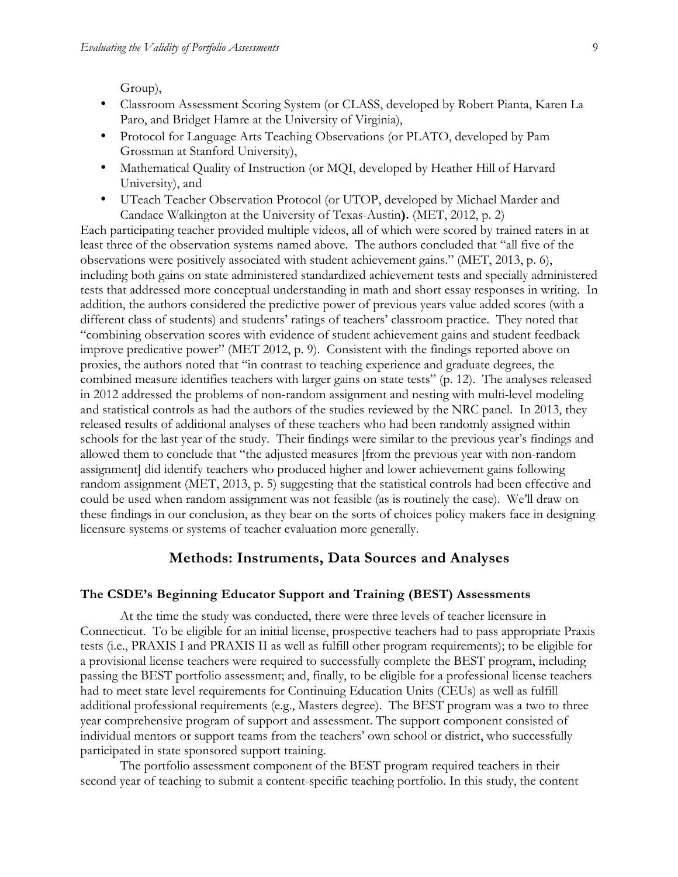Group),

- Classroom Assessment Scoring System (or CLASS, developed by Robert Pianta, Karen La Paro, and Bridget Hamre at the University of Virginia),
- Protocol for Language Arts Teaching Observations (or PLATO, developed by Pam Grossman at Stanford University),
- Mathematical Quality of Instruction (or MQI, developed by Heather Hill of Harvard University), and
- UTeach Teacher Observation Protocol (or UTOP, developed by Michael Marder and Candace Walkington at the University of Texas-Austin**).** (MET, 2012, p. 2)

Each participating teacher provided multiple videos, all of which were scored by trained raters in at least three of the observation systems named above. The authors concluded that "all five of the observations were positively associated with student achievement gains." (MET, 2013, p. 6), including both gains on state administered standardized achievement tests and specially administered tests that addressed more conceptual understanding in math and short essay responses in writing. In addition, the authors considered the predictive power of previous years value added scores (with a different class of students) and students' ratings of teachers' classroom practice. They noted that "combining observation scores with evidence of student achievement gains and student feedback improve predicative power" (MET 2012, p. 9). Consistent with the findings reported above on proxies, the authors noted that "in contrast to teaching experience and graduate degrees, the combined measure identifies teachers with larger gains on state tests" (p. 12). The analyses released in 2012 addressed the problems of non-random assignment and nesting with multi-level modeling and statistical controls as had the authors of the studies reviewed by the NRC panel. In 2013, they released results of additional analyses of these teachers who had been randomly assigned within schools for the last year of the study. Their findings were similar to the previous year's findings and allowed them to conclude that "the adjusted measures [from the previous year with non-random assignment] did identify teachers who produced higher and lower achievement gains following random assignment (MET, 2013, p. 5) suggesting that the statistical controls had been effective and could be used when random assignment was not feasible (as is routinely the case). We'll draw on these findings in our conclusion, as they bear on the sorts of choices policy makers face in designing licensure systems or systems of teacher evaluation more generally.

# **Methods: Instruments, Data Sources and Analyses**

### **The CSDE's Beginning Educator Support and Training (BEST) Assessments**

At the time the study was conducted, there were three levels of teacher licensure in Connecticut. To be eligible for an initial license, prospective teachers had to pass appropriate Praxis tests (i.e., PRAXIS I and PRAXIS II as well as fulfill other program requirements); to be eligible for a provisional license teachers were required to successfully complete the BEST program, including passing the BEST portfolio assessment; and, finally, to be eligible for a professional license teachers had to meet state level requirements for Continuing Education Units (CEUs) as well as fulfill additional professional requirements (e.g., Masters degree). The BEST program was a two to three year comprehensive program of support and assessment. The support component consisted of individual mentors or support teams from the teachers' own school or district, who successfully participated in state sponsored support training.

The portfolio assessment component of the BEST program required teachers in their second year of teaching to submit a content-specific teaching portfolio. In this study, the content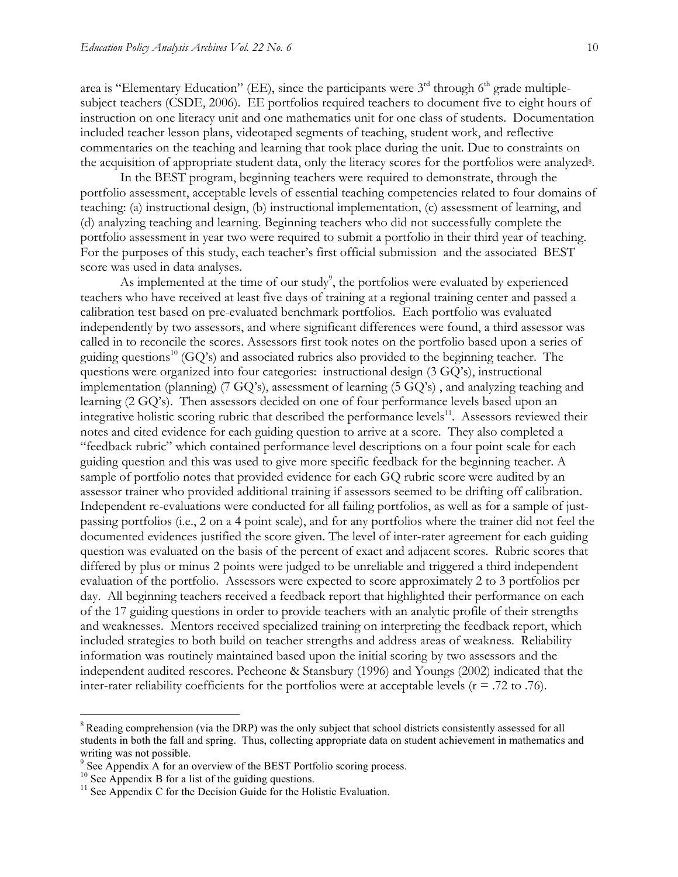area is "Elementary Education" (EE), since the participants were 3<sup>rd</sup> through 6<sup>th</sup> grade multiplesubject teachers (CSDE, 2006). EE portfolios required teachers to document five to eight hours of instruction on one literacy unit and one mathematics unit for one class of students. Documentation included teacher lesson plans, videotaped segments of teaching, student work, and reflective commentaries on the teaching and learning that took place during the unit. Due to constraints on the acquisition of appropriate student data, only the literacy scores for the portfolios were analyzed<sup>8</sup>.

In the BEST program, beginning teachers were required to demonstrate, through the portfolio assessment, acceptable levels of essential teaching competencies related to four domains of teaching: (a) instructional design, (b) instructional implementation, (c) assessment of learning, and (d) analyzing teaching and learning. Beginning teachers who did not successfully complete the portfolio assessment in year two were required to submit a portfolio in their third year of teaching. For the purposes of this study, each teacher's first official submission and the associated BEST score was used in data analyses.

As implemented at the time of our study<sup>9</sup>, the portfolios were evaluated by experienced teachers who have received at least five days of training at a regional training center and passed a calibration test based on pre-evaluated benchmark portfolios. Each portfolio was evaluated independently by two assessors, and where significant differences were found, a third assessor was called in to reconcile the scores. Assessors first took notes on the portfolio based upon a series of guiding questions<sup>10</sup> (GQ's) and associated rubrics also provided to the beginning teacher. The questions were organized into four categories: instructional design (3 GQ's), instructional implementation (planning) (7 GQ's), assessment of learning (5 GQ's) , and analyzing teaching and learning (2 GQ's). Then assessors decided on one of four performance levels based upon an integrative holistic scoring rubric that described the performance levels $^{11}$ . Assessors reviewed their notes and cited evidence for each guiding question to arrive at a score. They also completed a "feedback rubric" which contained performance level descriptions on a four point scale for each guiding question and this was used to give more specific feedback for the beginning teacher. A sample of portfolio notes that provided evidence for each GQ rubric score were audited by an assessor trainer who provided additional training if assessors seemed to be drifting off calibration. Independent re-evaluations were conducted for all failing portfolios, as well as for a sample of justpassing portfolios (i.e., 2 on a 4 point scale), and for any portfolios where the trainer did not feel the documented evidences justified the score given. The level of inter-rater agreement for each guiding question was evaluated on the basis of the percent of exact and adjacent scores. Rubric scores that differed by plus or minus 2 points were judged to be unreliable and triggered a third independent evaluation of the portfolio. Assessors were expected to score approximately 2 to 3 portfolios per day. All beginning teachers received a feedback report that highlighted their performance on each of the 17 guiding questions in order to provide teachers with an analytic profile of their strengths and weaknesses. Mentors received specialized training on interpreting the feedback report, which included strategies to both build on teacher strengths and address areas of weakness. Reliability information was routinely maintained based upon the initial scoring by two assessors and the independent audited rescores. Pecheone & Stansbury (1996) and Youngs (2002) indicated that the inter-rater reliability coefficients for the portfolios were at acceptable levels ( $r = .72$  to .76).

<sup>&</sup>lt;sup>8</sup> Reading comprehension (via the DRP) was the only subject that school districts consistently assessed for all students in both the fall and spring. Thus, collecting appropriate data on student achievement in mathematics and writing was not possible.

<sup>&</sup>lt;sup>9</sup> See Appendix A for an overview of the BEST Portfolio scoring process. <sup>10</sup> See Appendix B for a list of the guiding questions.

 $11$  See Appendix C for the Decision Guide for the Holistic Evaluation.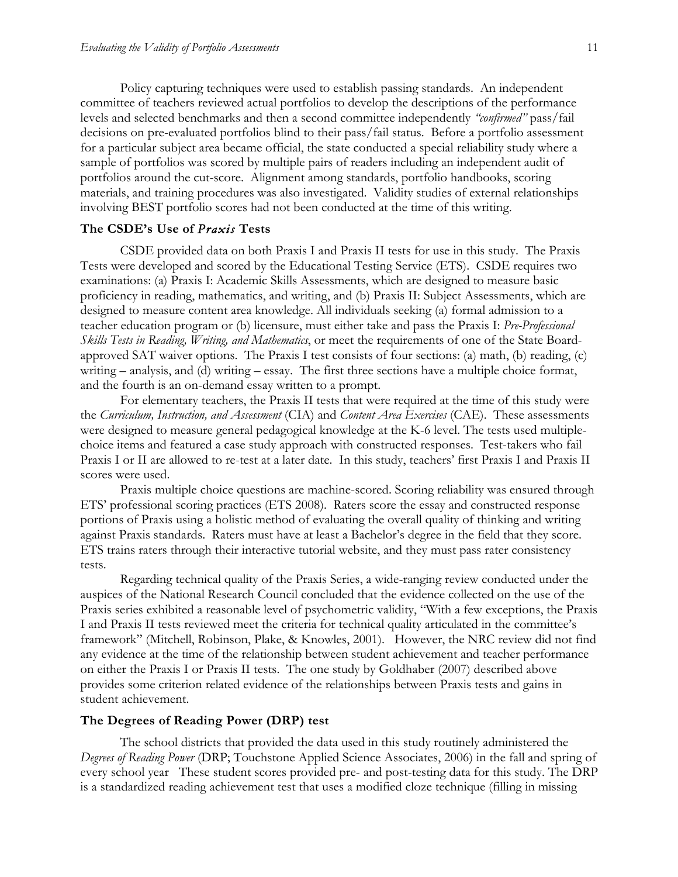Policy capturing techniques were used to establish passing standards. An independent committee of teachers reviewed actual portfolios to develop the descriptions of the performance levels and selected benchmarks and then a second committee independently *"confirmed"* pass/fail decisions on pre-evaluated portfolios blind to their pass/fail status. Before a portfolio assessment for a particular subject area became official, the state conducted a special reliability study where a sample of portfolios was scored by multiple pairs of readers including an independent audit of portfolios around the cut-score. Alignment among standards, portfolio handbooks, scoring materials, and training procedures was also investigated. Validity studies of external relationships involving BEST portfolio scores had not been conducted at the time of this writing.

### **The CSDE's Use of** *Praxis* **Tests**

CSDE provided data on both Praxis I and Praxis II tests for use in this study. The Praxis Tests were developed and scored by the Educational Testing Service (ETS). CSDE requires two examinations: (a) Praxis I: Academic Skills Assessments, which are designed to measure basic proficiency in reading, mathematics, and writing, and (b) Praxis II: Subject Assessments, which are designed to measure content area knowledge. All individuals seeking (a) formal admission to a teacher education program or (b) licensure, must either take and pass the Praxis I: *Pre-Professional Skills Tests in Reading, Writing, and Mathematics*, or meet the requirements of one of the State Boardapproved SAT waiver options. The Praxis I test consists of four sections: (a) math, (b) reading, (c) writing – analysis, and (d) writing – essay. The first three sections have a multiple choice format, and the fourth is an on-demand essay written to a prompt.

For elementary teachers, the Praxis II tests that were required at the time of this study were the *Curriculum, Instruction, and Assessment* (CIA) and *Content Area Exercises* (CAE). These assessments were designed to measure general pedagogical knowledge at the K-6 level. The tests used multiplechoice items and featured a case study approach with constructed responses. Test-takers who fail Praxis I or II are allowed to re-test at a later date. In this study, teachers' first Praxis I and Praxis II scores were used.

Praxis multiple choice questions are machine-scored. Scoring reliability was ensured through ETS' professional scoring practices (ETS 2008). Raters score the essay and constructed response portions of Praxis using a holistic method of evaluating the overall quality of thinking and writing against Praxis standards. Raters must have at least a Bachelor's degree in the field that they score. ETS trains raters through their interactive tutorial website, and they must pass rater consistency tests.

Regarding technical quality of the Praxis Series, a wide-ranging review conducted under the auspices of the National Research Council concluded that the evidence collected on the use of the Praxis series exhibited a reasonable level of psychometric validity, "With a few exceptions, the Praxis I and Praxis II tests reviewed meet the criteria for technical quality articulated in the committee's framework" (Mitchell, Robinson, Plake, & Knowles, 2001). However, the NRC review did not find any evidence at the time of the relationship between student achievement and teacher performance on either the Praxis I or Praxis II tests. The one study by Goldhaber (2007) described above provides some criterion related evidence of the relationships between Praxis tests and gains in student achievement.

# **The Degrees of Reading Power (DRP) test**

The school districts that provided the data used in this study routinely administered the *Degrees of Reading Power* (DRP; Touchstone Applied Science Associates, 2006) in the fall and spring of every school year These student scores provided pre- and post-testing data for this study. The DRP is a standardized reading achievement test that uses a modified cloze technique (filling in missing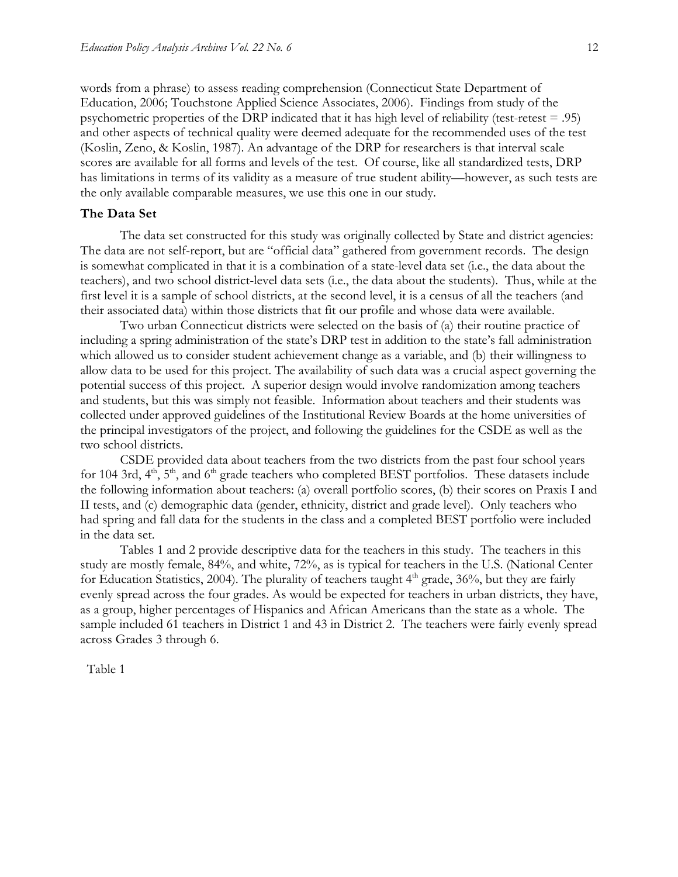words from a phrase) to assess reading comprehension (Connecticut State Department of Education, 2006; Touchstone Applied Science Associates, 2006). Findings from study of the psychometric properties of the DRP indicated that it has high level of reliability (test-retest = .95) and other aspects of technical quality were deemed adequate for the recommended uses of the test (Koslin, Zeno, & Koslin, 1987). An advantage of the DRP for researchers is that interval scale scores are available for all forms and levels of the test. Of course, like all standardized tests, DRP has limitations in terms of its validity as a measure of true student ability—however, as such tests are the only available comparable measures, we use this one in our study.

## **The Data Set**

The data set constructed for this study was originally collected by State and district agencies: The data are not self-report, but are "official data" gathered from government records. The design is somewhat complicated in that it is a combination of a state-level data set (i.e., the data about the teachers), and two school district-level data sets (i.e., the data about the students). Thus, while at the first level it is a sample of school districts, at the second level, it is a census of all the teachers (and their associated data) within those districts that fit our profile and whose data were available.

Two urban Connecticut districts were selected on the basis of (a) their routine practice of including a spring administration of the state's DRP test in addition to the state's fall administration which allowed us to consider student achievement change as a variable, and (b) their willingness to allow data to be used for this project. The availability of such data was a crucial aspect governing the potential success of this project. A superior design would involve randomization among teachers and students, but this was simply not feasible. Information about teachers and their students was collected under approved guidelines of the Institutional Review Boards at the home universities of the principal investigators of the project, and following the guidelines for the CSDE as well as the two school districts.

CSDE provided data about teachers from the two districts from the past four school years for 104 3rd,  $4<sup>th</sup>$ ,  $5<sup>th</sup>$ , and  $6<sup>th</sup>$  grade teachers who completed BEST portfolios. These datasets include the following information about teachers: (a) overall portfolio scores, (b) their scores on Praxis I and II tests, and (c) demographic data (gender, ethnicity, district and grade level). Only teachers who had spring and fall data for the students in the class and a completed BEST portfolio were included in the data set.

Tables 1 and 2 provide descriptive data for the teachers in this study. The teachers in this study are mostly female, 84%, and white, 72%, as is typical for teachers in the U.S. (National Center for Education Statistics, 2004). The plurality of teachers taught  $4<sup>th</sup>$  grade, 36%, but they are fairly evenly spread across the four grades. As would be expected for teachers in urban districts, they have, as a group, higher percentages of Hispanics and African Americans than the state as a whole. The sample included 61 teachers in District 1 and 43 in District 2. The teachers were fairly evenly spread across Grades 3 through 6.

Table 1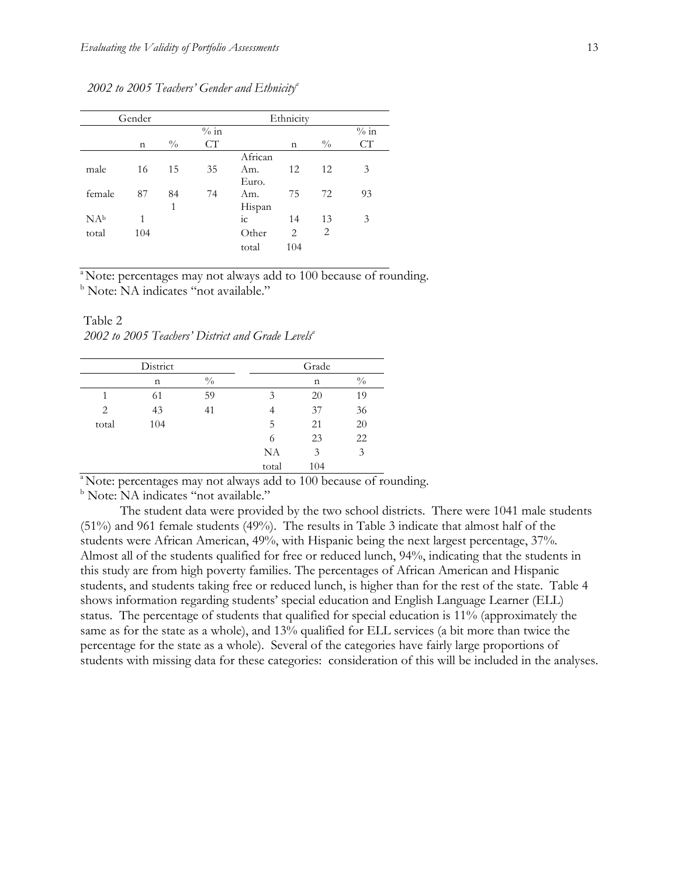|                 | Gender      |               |        |             | Ethnicity |               |        |
|-----------------|-------------|---------------|--------|-------------|-----------|---------------|--------|
|                 |             |               | $%$ in |             |           |               | $%$ in |
|                 | $\mathbf n$ | $\frac{0}{0}$ | CТ     |             | n         | $\frac{0}{0}$ | CT     |
|                 |             |               |        | African     |           |               |        |
| male            | 16          | 15            | 35     | Am.         | 12        | 12            | 3      |
|                 |             |               |        | Euro.       |           |               |        |
| female          | 87          | 84            | 74     | Am.         | 75        | 72            | 93     |
|                 |             | 1             |        | Hispan      |           |               |        |
| NA <sub>b</sub> | 1           |               |        | $i_{\rm C}$ | 14        | 13            | 3      |
| total           | 104         |               |        | Other       | 2         | 2             |        |
|                 |             |               |        | total       | 104       |               |        |

*2002 to 2005 Teachers' Gender and Ethnicitya*

<sup>a</sup>Note: percentages may not always add to 100 because of rounding. <sup>b</sup> Note: NA indicates "not available."

Table 2 2002 to 2005 Teachers' District and Grade Levels<sup>a</sup>

|       | District |               |       | Grade |                 |
|-------|----------|---------------|-------|-------|-----------------|
|       | n        | $\frac{0}{0}$ |       | n     | $\sqrt[0]{\!0}$ |
|       | 61       | 59            | 3     | 20    | 19              |
| 2     | 43       | 41            |       | 37    | 36              |
| total | 104      |               | 5     | 21    | 20              |
|       |          |               | 6     | 23    | 22              |
|       |          |               | NA    | 3     | 3               |
|       |          |               | total | 104   |                 |

<sup>a</sup> Note: percentages may not always add to 100 because of rounding.

<sup>b</sup> Note: NA indicates "not available."

The student data were provided by the two school districts. There were 1041 male students (51%) and 961 female students (49%). The results in Table 3 indicate that almost half of the students were African American, 49%, with Hispanic being the next largest percentage, 37%. Almost all of the students qualified for free or reduced lunch, 94%, indicating that the students in this study are from high poverty families. The percentages of African American and Hispanic students, and students taking free or reduced lunch, is higher than for the rest of the state. Table 4 shows information regarding students' special education and English Language Learner (ELL) status. The percentage of students that qualified for special education is 11% (approximately the same as for the state as a whole), and 13% qualified for ELL services (a bit more than twice the percentage for the state as a whole). Several of the categories have fairly large proportions of students with missing data for these categories: consideration of this will be included in the analyses.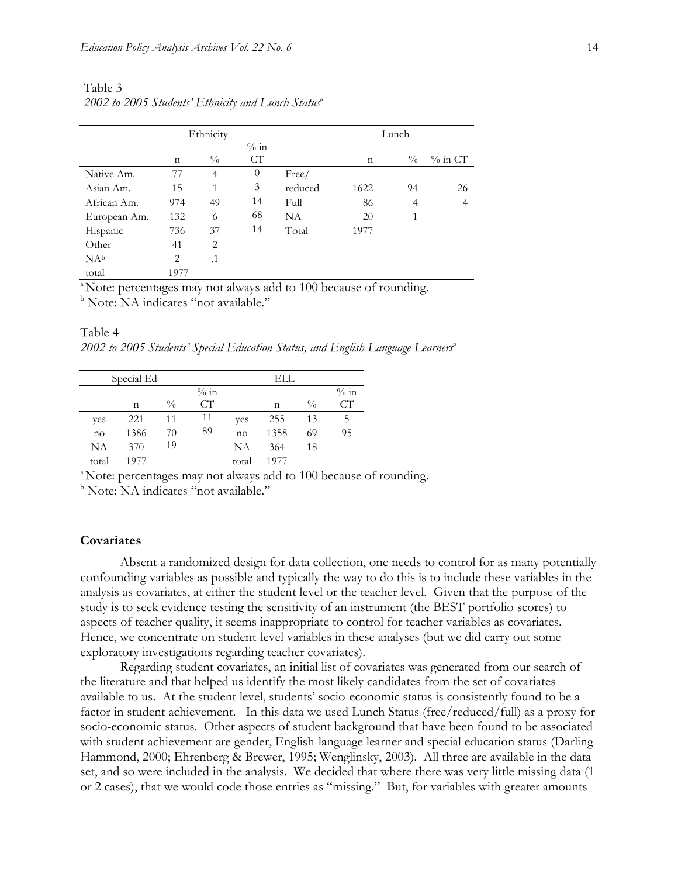| Ethnicity       |             |                |          |         |             | Lunch         |            |
|-----------------|-------------|----------------|----------|---------|-------------|---------------|------------|
|                 |             |                | $\%$ in  |         |             |               |            |
|                 | $\mathbf n$ | $\frac{0}{0}$  | CT       |         | $\mathbf n$ | $\frac{0}{0}$ | $\%$ in CT |
| Native Am.      | 77          | $\overline{4}$ | $\theta$ | Free/   |             |               |            |
| Asian Am.       | 15          | 1              | 3        | reduced | 1622        | 94            | 26         |
| African Am.     | 974         | 49             | 14       | Full    | 86          | 4             | 4          |
| European Am.    | 132         | 6              | 68       | NA      | 20          | 1             |            |
| Hispanic        | 736         | 37             | 14       | Total   | 1977        |               |            |
| Other           | 41          | 2              |          |         |             |               |            |
| NA <sub>b</sub> | 2           | $\cdot$ 1      |          |         |             |               |            |
| total           | 1977        |                |          |         |             |               |            |

Table 3 2002 to 2005 Students' Ethnicity and Lunch Status<sup>a</sup>

<sup>a</sup> Note: percentages may not always add to 100 because of rounding.

<sup>b</sup> Note: NA indicates "not available."

2002 to 2005 Students' Special Education Status, and English Language Learners<sup>a</sup>

|       | Special Ed |               |         |       | ELL. |               |         |
|-------|------------|---------------|---------|-------|------|---------------|---------|
|       |            |               | $\%$ in |       |      |               | $\%$ in |
|       | n          | $\frac{0}{0}$ | CТ      |       | n    | $\frac{0}{0}$ | CT      |
| yes   | 221        | 11            | 11      | yes   | 255  | 13            | 5       |
| no    | 1386       | 70            | 89      | no    | 1358 | 69            | 95      |
| NA    | 370        | 19            |         | NΑ    | 364  | 18            |         |
| total | 1977       |               |         | total | 1977 |               |         |

<sup>a</sup> Note: percentages may not always add to 100 because of rounding.

<sup>b</sup> Note: NA indicates "not available."

### **Covariates**

Table 4

Absent a randomized design for data collection, one needs to control for as many potentially confounding variables as possible and typically the way to do this is to include these variables in the analysis as covariates, at either the student level or the teacher level. Given that the purpose of the study is to seek evidence testing the sensitivity of an instrument (the BEST portfolio scores) to aspects of teacher quality, it seems inappropriate to control for teacher variables as covariates. Hence, we concentrate on student-level variables in these analyses (but we did carry out some exploratory investigations regarding teacher covariates).

Regarding student covariates, an initial list of covariates was generated from our search of the literature and that helped us identify the most likely candidates from the set of covariates available to us. At the student level, students' socio-economic status is consistently found to be a factor in student achievement. In this data we used Lunch Status (free/reduced/full) as a proxy for socio-economic status. Other aspects of student background that have been found to be associated with student achievement are gender, English-language learner and special education status (Darling-Hammond, 2000; Ehrenberg & Brewer, 1995; Wenglinsky, 2003). All three are available in the data set, and so were included in the analysis. We decided that where there was very little missing data (1 or 2 cases), that we would code those entries as "missing." But, for variables with greater amounts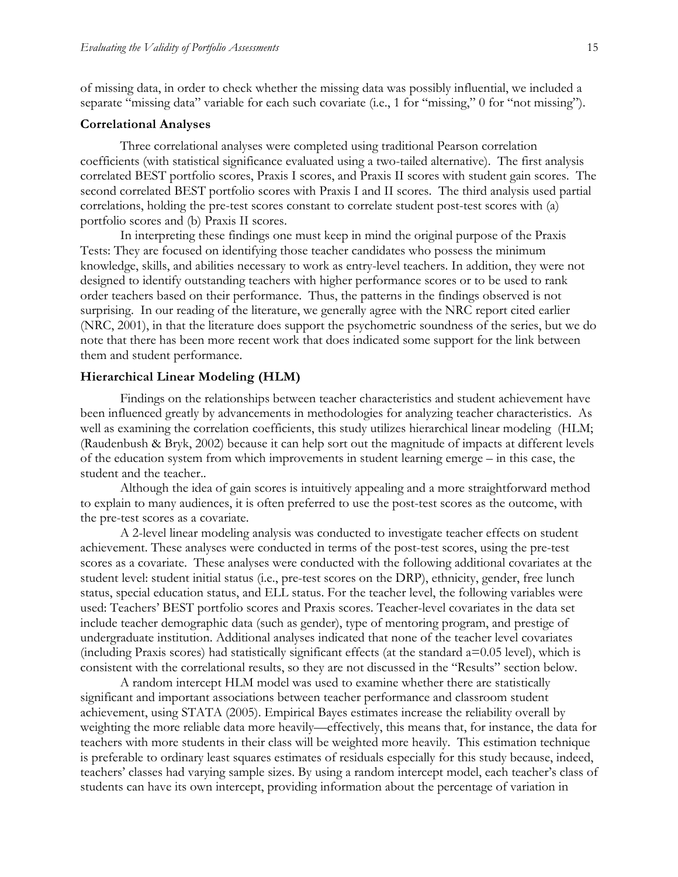of missing data, in order to check whether the missing data was possibly influential, we included a separate "missing data" variable for each such covariate (i.e., 1 for "missing," 0 for "not missing").

#### **Correlational Analyses**

Three correlational analyses were completed using traditional Pearson correlation coefficients (with statistical significance evaluated using a two-tailed alternative). The first analysis correlated BEST portfolio scores, Praxis I scores, and Praxis II scores with student gain scores. The second correlated BEST portfolio scores with Praxis I and II scores. The third analysis used partial correlations, holding the pre-test scores constant to correlate student post-test scores with (a) portfolio scores and (b) Praxis II scores.

In interpreting these findings one must keep in mind the original purpose of the Praxis Tests: They are focused on identifying those teacher candidates who possess the minimum knowledge, skills, and abilities necessary to work as entry-level teachers. In addition, they were not designed to identify outstanding teachers with higher performance scores or to be used to rank order teachers based on their performance. Thus, the patterns in the findings observed is not surprising. In our reading of the literature, we generally agree with the NRC report cited earlier (NRC, 2001), in that the literature does support the psychometric soundness of the series, but we do note that there has been more recent work that does indicated some support for the link between them and student performance.

### **Hierarchical Linear Modeling (HLM)**

Findings on the relationships between teacher characteristics and student achievement have been influenced greatly by advancements in methodologies for analyzing teacher characteristics. As well as examining the correlation coefficients, this study utilizes hierarchical linear modeling (HLM; (Raudenbush & Bryk, 2002) because it can help sort out the magnitude of impacts at different levels of the education system from which improvements in student learning emerge – in this case, the student and the teacher..

Although the idea of gain scores is intuitively appealing and a more straightforward method to explain to many audiences, it is often preferred to use the post-test scores as the outcome, with the pre-test scores as a covariate.

A 2-level linear modeling analysis was conducted to investigate teacher effects on student achievement. These analyses were conducted in terms of the post-test scores, using the pre-test scores as a covariate. These analyses were conducted with the following additional covariates at the student level: student initial status (i.e., pre-test scores on the DRP), ethnicity, gender, free lunch status, special education status, and ELL status. For the teacher level, the following variables were used: Teachers' BEST portfolio scores and Praxis scores. Teacher-level covariates in the data set include teacher demographic data (such as gender), type of mentoring program, and prestige of undergraduate institution. Additional analyses indicated that none of the teacher level covariates (including Praxis scores) had statistically significant effects (at the standard a=0.05 level), which is consistent with the correlational results, so they are not discussed in the "Results" section below.

A random intercept HLM model was used to examine whether there are statistically significant and important associations between teacher performance and classroom student achievement, using STATA (2005). Empirical Bayes estimates increase the reliability overall by weighting the more reliable data more heavily—effectively, this means that, for instance, the data for teachers with more students in their class will be weighted more heavily. This estimation technique is preferable to ordinary least squares estimates of residuals especially for this study because, indeed, teachers' classes had varying sample sizes. By using a random intercept model, each teacher's class of students can have its own intercept, providing information about the percentage of variation in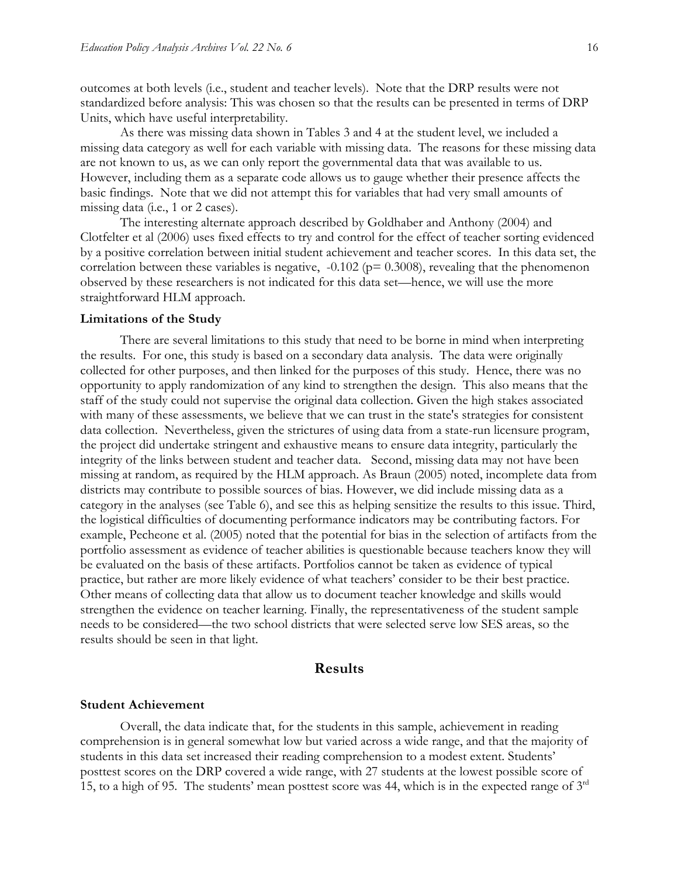outcomes at both levels (i.e., student and teacher levels). Note that the DRP results were not standardized before analysis: This was chosen so that the results can be presented in terms of DRP Units, which have useful interpretability.

As there was missing data shown in Tables 3 and 4 at the student level, we included a missing data category as well for each variable with missing data. The reasons for these missing data are not known to us, as we can only report the governmental data that was available to us. However, including them as a separate code allows us to gauge whether their presence affects the basic findings. Note that we did not attempt this for variables that had very small amounts of missing data (i.e., 1 or 2 cases).

The interesting alternate approach described by Goldhaber and Anthony (2004) and Clotfelter et al (2006) uses fixed effects to try and control for the effect of teacher sorting evidenced by a positive correlation between initial student achievement and teacher scores. In this data set, the correlation between these variables is negative,  $-0.102$  ( $p = 0.3008$ ), revealing that the phenomenon observed by these researchers is not indicated for this data set—hence, we will use the more straightforward HLM approach.

#### **Limitations of the Study**

There are several limitations to this study that need to be borne in mind when interpreting the results. For one, this study is based on a secondary data analysis. The data were originally collected for other purposes, and then linked for the purposes of this study. Hence, there was no opportunity to apply randomization of any kind to strengthen the design. This also means that the staff of the study could not supervise the original data collection. Given the high stakes associated with many of these assessments, we believe that we can trust in the state's strategies for consistent data collection. Nevertheless, given the strictures of using data from a state-run licensure program, the project did undertake stringent and exhaustive means to ensure data integrity, particularly the integrity of the links between student and teacher data. Second, missing data may not have been missing at random, as required by the HLM approach. As Braun (2005) noted, incomplete data from districts may contribute to possible sources of bias. However, we did include missing data as a category in the analyses (see Table 6), and see this as helping sensitize the results to this issue. Third, the logistical difficulties of documenting performance indicators may be contributing factors. For example, Pecheone et al. (2005) noted that the potential for bias in the selection of artifacts from the portfolio assessment as evidence of teacher abilities is questionable because teachers know they will be evaluated on the basis of these artifacts. Portfolios cannot be taken as evidence of typical practice, but rather are more likely evidence of what teachers' consider to be their best practice. Other means of collecting data that allow us to document teacher knowledge and skills would strengthen the evidence on teacher learning. Finally, the representativeness of the student sample needs to be considered—the two school districts that were selected serve low SES areas, so the results should be seen in that light.

### **Results**

#### **Student Achievement**

Overall, the data indicate that, for the students in this sample, achievement in reading comprehension is in general somewhat low but varied across a wide range, and that the majority of students in this data set increased their reading comprehension to a modest extent. Students' posttest scores on the DRP covered a wide range, with 27 students at the lowest possible score of 15, to a high of 95. The students' mean posttest score was 44, which is in the expected range of  $3<sup>rd</sup>$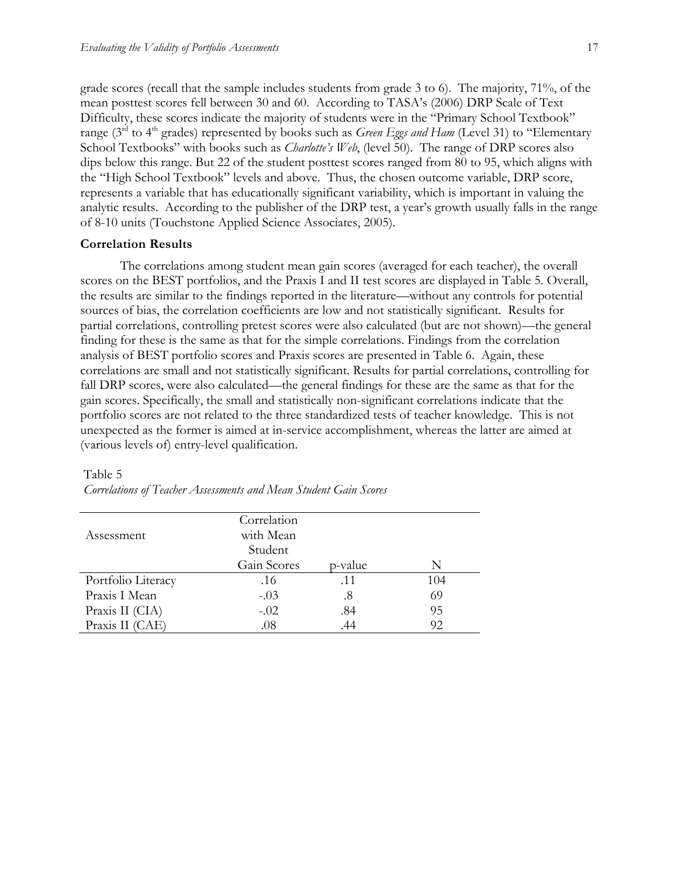grade scores (recall that the sample includes students from grade 3 to 6). The majority, 71%, of the mean posttest scores fell between 30 and 60. According to TASA's (2006) DRP Scale of Text Difficulty, these scores indicate the majority of students were in the "Primary School Textbook" range (3<sup>rd</sup> to 4<sup>th</sup> grades) represented by books such as *Green Eggs and Ham* (Level 31) to "Elementary School Textbooks" with books such as *Charlotte's Web*, (level 50). The range of DRP scores also dips below this range. But 22 of the student posttest scores ranged from 80 to 95, which aligns with the "High School Textbook" levels and above. Thus, the chosen outcome variable, DRP score, represents a variable that has educationally significant variability, which is important in valuing the analytic results. According to the publisher of the DRP test, a year's growth usually falls in the range of 8-10 units (Touchstone Applied Science Associates, 2005).

#### **Correlation Results**

The correlations among student mean gain scores (averaged for each teacher), the overall scores on the BEST portfolios, and the Praxis I and II test scores are displayed in Table 5. Overall, the results are similar to the findings reported in the literature—without any controls for potential sources of bias, the correlation coefficients are low and not statistically significant. Results for partial correlations, controlling pretest scores were also calculated (but are not shown)—the general finding for these is the same as that for the simple correlations. Findings from the correlation analysis of BEST portfolio scores and Praxis scores are presented in Table 6. Again, these correlations are small and not statistically significant. Results for partial correlations, controlling for fall DRP scores, were also calculated—the general findings for these are the same as that for the gain scores. Specifically, the small and statistically non-significant correlations indicate that the portfolio scores are not related to the three standardized tests of teacher knowledge. This is not unexpected as the former is aimed at in-service accomplishment, whereas the latter are aimed at (various levels of) entry-level qualification.

#### Table 5

|                    | Correlation |         |     |
|--------------------|-------------|---------|-----|
| Assessment         | with Mean   |         |     |
|                    | Student     |         |     |
|                    | Gain Scores | p-value | N   |
| Portfolio Literacy | .16         | .11     | 104 |
| Praxis I Mean      | $-.03$      | .8      | 69  |
| Praxis II (CIA)    | $-.02$      | .84     | 95  |
| Praxis II (CAE)    | .08         |         | 92  |

*Correlations of Teacher Assessments and Mean Student Gain Scores*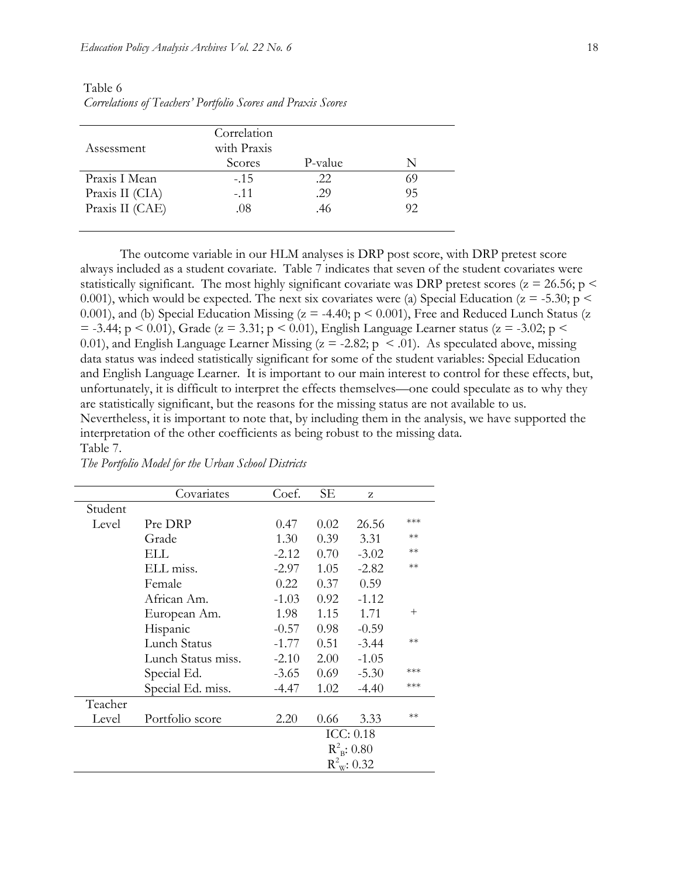|                 | Correlation |         |    |
|-----------------|-------------|---------|----|
| Assessment      | with Praxis |         |    |
|                 | Scores      | P-value | N  |
| Praxis I Mean   | $-.15$      | .22     | 69 |
| Praxis II (CIA) | $-.11$      | .29     | 95 |
| Praxis II (CAE) | .08         | .46     | 92 |
|                 |             |         |    |

Table 6 *Correlations of Teachers' Portfolio Scores and Praxis Scores*

The outcome variable in our HLM analyses is DRP post score, with DRP pretest score always included as a student covariate. Table 7 indicates that seven of the student covariates were statistically significant. The most highly significant covariate was DRP pretest scores ( $z = 26.56$ ; p  $\le$ 0.001), which would be expected. The next six covariates were (a) Special Education ( $z = -5.30$ ; p < 0.001), and (b) Special Education Missing ( $z = -4.40$ ;  $p < 0.001$ ), Free and Reduced Lunch Status (z  $=$  -3.44; p < 0.01), Grade (z = 3.31; p < 0.01), English Language Learner status (z = -3.02; p < 0.01), and English Language Learner Missing ( $z = -2.82$ ;  $p \le 0.01$ ). As speculated above, missing data status was indeed statistically significant for some of the student variables: Special Education and English Language Learner. It is important to our main interest to control for these effects, but, unfortunately, it is difficult to interpret the effects themselves—one could speculate as to why they are statistically significant, but the reasons for the missing status are not available to us. Nevertheless, it is important to note that, by including them in the analysis, we have supported the interpretation of the other coefficients as being robust to the missing data. Table 7.

|         | Covariates         | Coef.   | SЕ   | Z                       |        |
|---------|--------------------|---------|------|-------------------------|--------|
| Student |                    |         |      |                         |        |
| Level   | Pre DRP            | 0.47    | 0.02 | 26.56                   | ***    |
|         | Grade              | 1.30    | 0.39 | 3.31                    | $**$   |
|         | ELL.               | $-2.12$ | 0.70 | $-3.02$                 | $**$   |
|         | ELL miss.          | $-2.97$ | 1.05 | $-2.82$                 | $**$   |
|         | Female             | 0.22    | 0.37 | 0.59                    |        |
|         | African Am.        | $-1.03$ | 0.92 | $-1.12$                 |        |
|         | European Am.       | 1.98    | 1.15 | 1.71                    | $^{+}$ |
|         | Hispanic           | $-0.57$ | 0.98 | $-0.59$                 |        |
|         | Lunch Status       | $-1.77$ | 0.51 | $-3.44$                 | $**$   |
|         | Lunch Status miss. | $-2.10$ | 2.00 | $-1.05$                 |        |
|         | Special Ed.        | $-3.65$ | 0.69 | $-5.30$                 | ***    |
|         | Special Ed. miss.  | $-4.47$ | 1.02 | $-4.40$                 | ***    |
| Teacher |                    |         |      |                         |        |
| Level   | Portfolio score    | 2.20    | 0.66 | 3.33                    | $**$   |
|         |                    |         |      | ICC: 0.18               |        |
|         |                    |         |      | $R_{B}^{2}$ : 0.80      |        |
|         |                    |         |      | $R^2_{\text{w}}$ : 0.32 |        |

*The Portfolio Model for the Urban School Districts*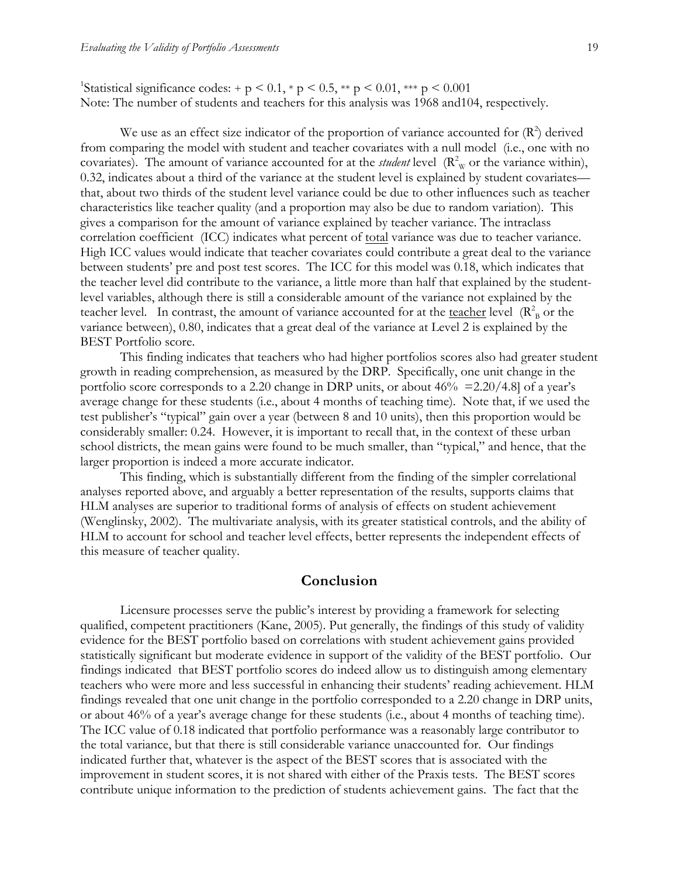<sup>1</sup>Statistical significance codes: + p < 0.1, \* p < 0.5, \*\* p < 0.01, \*\*\* p < 0.001 Note: The number of students and teachers for this analysis was 1968 and104, respectively.

We use as an effect size indicator of the proportion of variance accounted for  $(R^2)$  derived from comparing the model with student and teacher covariates with a null model (i.e., one with no covariates). The amount of variance accounted for at the *student* level  $(R_w^2)$  or the variance within), 0.32, indicates about a third of the variance at the student level is explained by student covariates that, about two thirds of the student level variance could be due to other influences such as teacher characteristics like teacher quality (and a proportion may also be due to random variation). This gives a comparison for the amount of variance explained by teacher variance. The intraclass correlation coefficient (ICC) indicates what percent of total variance was due to teacher variance. High ICC values would indicate that teacher covariates could contribute a great deal to the variance between students' pre and post test scores. The ICC for this model was 0.18, which indicates that the teacher level did contribute to the variance, a little more than half that explained by the studentlevel variables, although there is still a considerable amount of the variance not explained by the teacher level. In contrast, the amount of variance accounted for at the <u>teacher</u> level  $(R_B^2)$  or the variance between), 0.80, indicates that a great deal of the variance at Level 2 is explained by the BEST Portfolio score.

This finding indicates that teachers who had higher portfolios scores also had greater student growth in reading comprehension, as measured by the DRP. Specifically, one unit change in the portfolio score corresponds to a 2.20 change in DRP units, or about  $46\% = 2.20/4.8$  of a year's average change for these students (i.e., about 4 months of teaching time). Note that, if we used the test publisher's "typical" gain over a year (between 8 and 10 units), then this proportion would be considerably smaller: 0.24. However, it is important to recall that, in the context of these urban school districts, the mean gains were found to be much smaller, than "typical," and hence, that the larger proportion is indeed a more accurate indicator.

This finding, which is substantially different from the finding of the simpler correlational analyses reported above, and arguably a better representation of the results, supports claims that HLM analyses are superior to traditional forms of analysis of effects on student achievement (Wenglinsky, 2002). The multivariate analysis, with its greater statistical controls, and the ability of HLM to account for school and teacher level effects, better represents the independent effects of this measure of teacher quality.

# **Conclusion**

Licensure processes serve the public's interest by providing a framework for selecting qualified, competent practitioners (Kane, 2005). Put generally, the findings of this study of validity evidence for the BEST portfolio based on correlations with student achievement gains provided statistically significant but moderate evidence in support of the validity of the BEST portfolio. Our findings indicated that BEST portfolio scores do indeed allow us to distinguish among elementary teachers who were more and less successful in enhancing their students' reading achievement. HLM findings revealed that one unit change in the portfolio corresponded to a 2.20 change in DRP units, or about 46% of a year's average change for these students (i.e., about 4 months of teaching time). The ICC value of 0.18 indicated that portfolio performance was a reasonably large contributor to the total variance, but that there is still considerable variance unaccounted for. Our findings indicated further that, whatever is the aspect of the BEST scores that is associated with the improvement in student scores, it is not shared with either of the Praxis tests. The BEST scores contribute unique information to the prediction of students achievement gains. The fact that the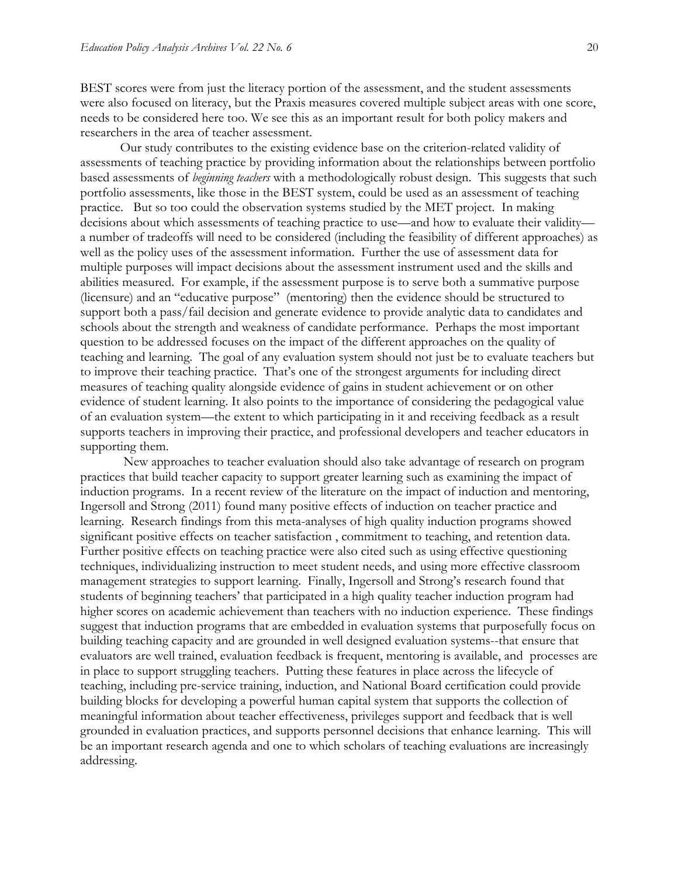BEST scores were from just the literacy portion of the assessment, and the student assessments were also focused on literacy, but the Praxis measures covered multiple subject areas with one score, needs to be considered here too. We see this as an important result for both policy makers and researchers in the area of teacher assessment.

Our study contributes to the existing evidence base on the criterion-related validity of assessments of teaching practice by providing information about the relationships between portfolio based assessments of *beginning teachers* with a methodologically robust design. This suggests that such portfolio assessments, like those in the BEST system, could be used as an assessment of teaching practice. But so too could the observation systems studied by the MET project. In making decisions about which assessments of teaching practice to use—and how to evaluate their validity a number of tradeoffs will need to be considered (including the feasibility of different approaches) as well as the policy uses of the assessment information. Further the use of assessment data for multiple purposes will impact decisions about the assessment instrument used and the skills and abilities measured. For example, if the assessment purpose is to serve both a summative purpose (licensure) and an "educative purpose" (mentoring) then the evidence should be structured to support both a pass/fail decision and generate evidence to provide analytic data to candidates and schools about the strength and weakness of candidate performance. Perhaps the most important question to be addressed focuses on the impact of the different approaches on the quality of teaching and learning. The goal of any evaluation system should not just be to evaluate teachers but to improve their teaching practice. That's one of the strongest arguments for including direct measures of teaching quality alongside evidence of gains in student achievement or on other evidence of student learning. It also points to the importance of considering the pedagogical value of an evaluation system—the extent to which participating in it and receiving feedback as a result supports teachers in improving their practice, and professional developers and teacher educators in supporting them.

New approaches to teacher evaluation should also take advantage of research on program practices that build teacher capacity to support greater learning such as examining the impact of induction programs. In a recent review of the literature on the impact of induction and mentoring, Ingersoll and Strong (2011) found many positive effects of induction on teacher practice and learning. Research findings from this meta-analyses of high quality induction programs showed significant positive effects on teacher satisfaction , commitment to teaching, and retention data. Further positive effects on teaching practice were also cited such as using effective questioning techniques, individualizing instruction to meet student needs, and using more effective classroom management strategies to support learning. Finally, Ingersoll and Strong's research found that students of beginning teachers' that participated in a high quality teacher induction program had higher scores on academic achievement than teachers with no induction experience. These findings suggest that induction programs that are embedded in evaluation systems that purposefully focus on building teaching capacity and are grounded in well designed evaluation systems--that ensure that evaluators are well trained, evaluation feedback is frequent, mentoring is available, and processes are in place to support struggling teachers. Putting these features in place across the lifecycle of teaching, including pre-service training, induction, and National Board certification could provide building blocks for developing a powerful human capital system that supports the collection of meaningful information about teacher effectiveness, privileges support and feedback that is well grounded in evaluation practices, and supports personnel decisions that enhance learning. This will be an important research agenda and one to which scholars of teaching evaluations are increasingly addressing.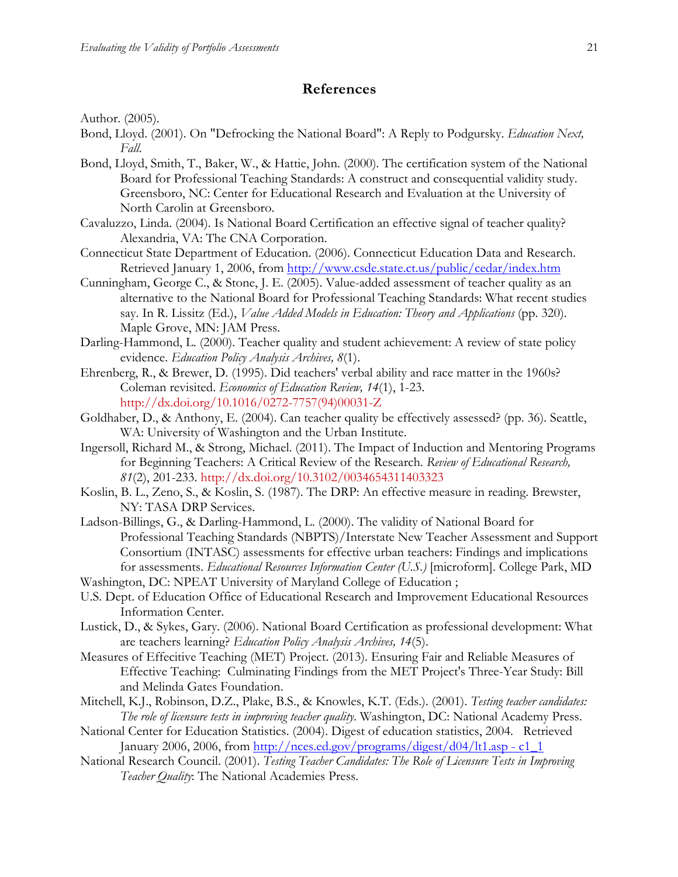# **References**

Author. (2005).

- Bond, Lloyd. (2001). On "Defrocking the National Board": A Reply to Podgursky. *Education Next, Fall*.
- Bond, Lloyd, Smith, T., Baker, W., & Hattie, John. (2000). The certification system of the National Board for Professional Teaching Standards: A construct and consequential validity study. Greensboro, NC: Center for Educational Research and Evaluation at the University of North Carolin at Greensboro.
- Cavaluzzo, Linda. (2004). Is National Board Certification an effective signal of teacher quality? Alexandria, VA: The CNA Corporation.
- Connecticut State Department of Education. (2006). Connecticut Education Data and Research. Retrieved January 1, 2006, from http://www.csde.state.ct.us/public/cedar/index.htm
- Cunningham, George C., & Stone, J. E. (2005). Value-added assessment of teacher quality as an alternative to the National Board for Professional Teaching Standards: What recent studies say. In R. Lissitz (Ed.), *Value Added Models in Education: Theory and Applications* (pp. 320). Maple Grove, MN: JAM Press.
- Darling-Hammond, L. (2000). Teacher quality and student achievement: A review of state policy evidence. *Education Policy Analysis Archives, 8*(1).
- Ehrenberg, R., & Brewer, D. (1995). Did teachers' verbal ability and race matter in the 1960s? Coleman revisited. *Economics of Education Review, 14*(1), 1-23. http://dx.doi.org/10.1016/0272-7757(94)00031-Z
- Goldhaber, D., & Anthony, E. (2004). Can teacher quality be effectively assessed? (pp. 36). Seattle, WA: University of Washington and the Urban Institute.
- Ingersoll, Richard M., & Strong, Michael. (2011). The Impact of Induction and Mentoring Programs for Beginning Teachers: A Critical Review of the Research. *Review of Educational Research, 81*(2), 201-233. http://dx.doi.org/10.3102/0034654311403323
- Koslin, B. L., Zeno, S., & Koslin, S. (1987). The DRP: An effective measure in reading. Brewster, NY: TASA DRP Services.
- Ladson-Billings, G., & Darling-Hammond, L. (2000). The validity of National Board for Professional Teaching Standards (NBPTS)/Interstate New Teacher Assessment and Support Consortium (INTASC) assessments for effective urban teachers: Findings and implications for assessments. *Educational Resources Information Center (U.S.)* [microform]. College Park, MD
- Washington, DC: NPEAT University of Maryland College of Education ;
- U.S. Dept. of Education Office of Educational Research and Improvement Educational Resources Information Center.
- Lustick, D., & Sykes, Gary. (2006). National Board Certification as professional development: What are teachers learning? *Education Policy Analysis Archives, 14*(5).
- Measures of Effecitive Teaching (MET) Project. (2013). Ensuring Fair and Reliable Measures of Effective Teaching: Culminating Findings from the MET Project's Three-Year Study: Bill and Melinda Gates Foundation.
- Mitchell, K.J., Robinson, D.Z., Plake, B.S., & Knowles, K.T. (Eds.). (2001). *Testing teacher candidates: The role of licensure tests in improving teacher quality*. Washington, DC: National Academy Press.
- National Center for Education Statistics. (2004). Digest of education statistics, 2004. Retrieved January 2006, 2006, from http://nces.ed.gov/programs/digest/d04/lt1.asp - c1\_1
- National Research Council. (2001). *Testing Teacher Candidates: The Role of Licensure Tests in Improving Teacher Quality*: The National Academies Press.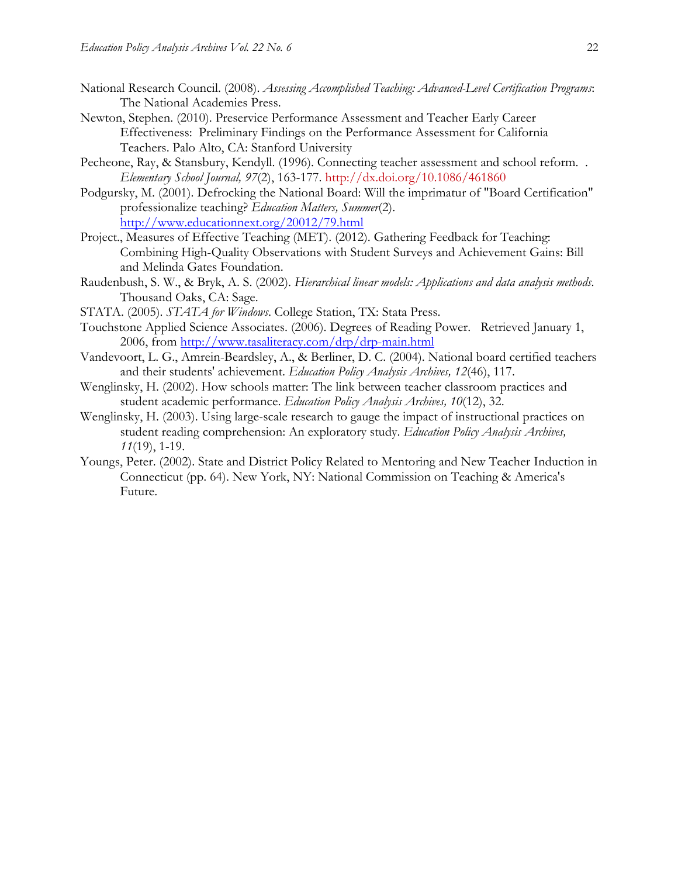- National Research Council. (2008). *Assessing Accomplished Teaching: Advanced-Level Certification Programs*: The National Academies Press.
- Newton, Stephen. (2010). Preservice Performance Assessment and Teacher Early Career Effectiveness: Preliminary Findings on the Performance Assessment for California Teachers. Palo Alto, CA: Stanford University
- Pecheone, Ray, & Stansbury, Kendyll. (1996). Connecting teacher assessment and school reform. . *Elementary School Journal, 97*(2), 163-177. http://dx.doi.org/10.1086/461860
- Podgursky, M. (2001). Defrocking the National Board: Will the imprimatur of "Board Certification" professionalize teaching? *Education Matters, Summer*(2). http://www.educationnext.org/20012/79.html
- Project., Measures of Effective Teaching (MET). (2012). Gathering Feedback for Teaching: Combining High-Quality Observations with Student Surveys and Achievement Gains: Bill and Melinda Gates Foundation.
- Raudenbush, S. W., & Bryk, A. S. (2002). *Hierarchical linear models: Applications and data analysis methods*. Thousand Oaks, CA: Sage.
- STATA. (2005). *STATA for Windows*. College Station, TX: Stata Press.
- Touchstone Applied Science Associates. (2006). Degrees of Reading Power. Retrieved January 1, 2006, from http://www.tasaliteracy.com/drp/drp-main.html
- Vandevoort, L. G., Amrein-Beardsley, A., & Berliner, D. C. (2004). National board certified teachers and their students' achievement. *Education Policy Analysis Archives, 12*(46), 117.
- Wenglinsky, H. (2002). How schools matter: The link between teacher classroom practices and student academic performance. *Education Policy Analysis Archives, 10*(12), 32.
- Wenglinsky, H. (2003). Using large-scale research to gauge the impact of instructional practices on student reading comprehension: An exploratory study. *Education Policy Analysis Archives, 11*(19), 1-19.
- Youngs, Peter. (2002). State and District Policy Related to Mentoring and New Teacher Induction in Connecticut (pp. 64). New York, NY: National Commission on Teaching & America's Future.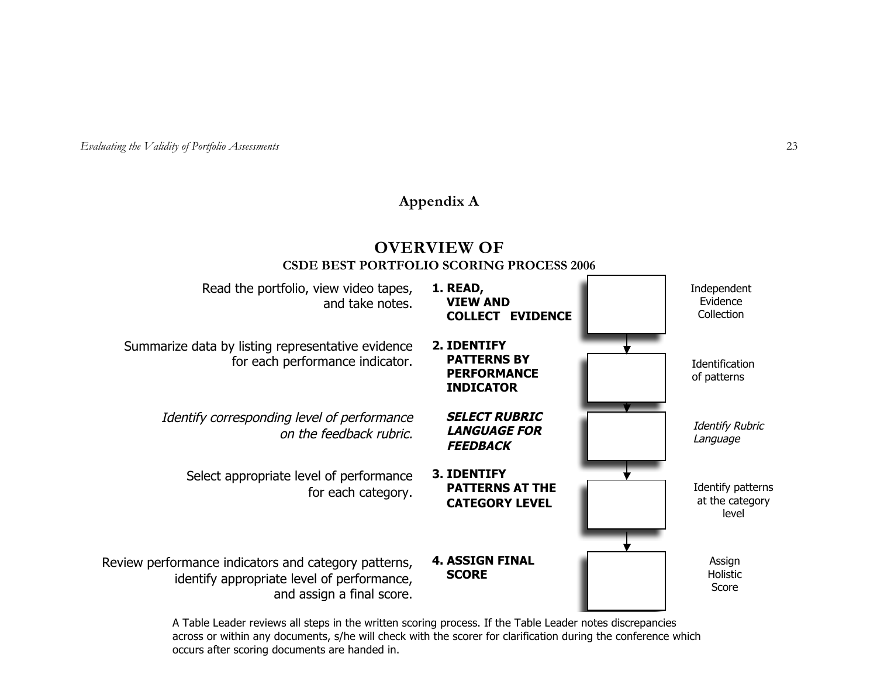*Evaluating the Validity of Portfolio Assessments* 23

# **Appendix A**

# **OVERVIEW OF CSDE BEST PORTFOLIO SCORING PROCESS 2006**

| Read the portfolio, view video tapes,<br>and take notes.                                                                        | 1. READ,<br><b>VIEW AND</b><br><b>COLLECT EVIDENCE</b>                      | Independent<br>Evidence<br>Collection         |
|---------------------------------------------------------------------------------------------------------------------------------|-----------------------------------------------------------------------------|-----------------------------------------------|
| Summarize data by listing representative evidence<br>for each performance indicator.                                            | 2. IDENTIFY<br><b>PATTERNS BY</b><br><b>PERFORMANCE</b><br><b>INDICATOR</b> | Identification<br>of patterns                 |
| Identify corresponding level of performance<br>on the feedback rubric.                                                          | <b>SELECT RUBRIC</b><br><b>LANGUAGE FOR</b><br><b>FEEDBACK</b>              | <b>Identify Rubric</b><br>Language            |
| Select appropriate level of performance<br>for each category.                                                                   | <b>3. IDENTIFY</b><br><b>PATTERNS AT THE</b><br><b>CATEGORY LEVEL</b>       | Identify patterns<br>at the category<br>level |
| Review performance indicators and category patterns,<br>identify appropriate level of performance,<br>and assign a final score. | <b>4. ASSIGN FINAL</b><br><b>SCORE</b>                                      | Assign<br>Holistic<br>Score                   |

A Table Leader reviews all steps in the written scoring process. If the Table Leader notes discrepancies across or within any documents, s/he will check with the scorer for clarification during the conference which occurs after scoring documents are handed in.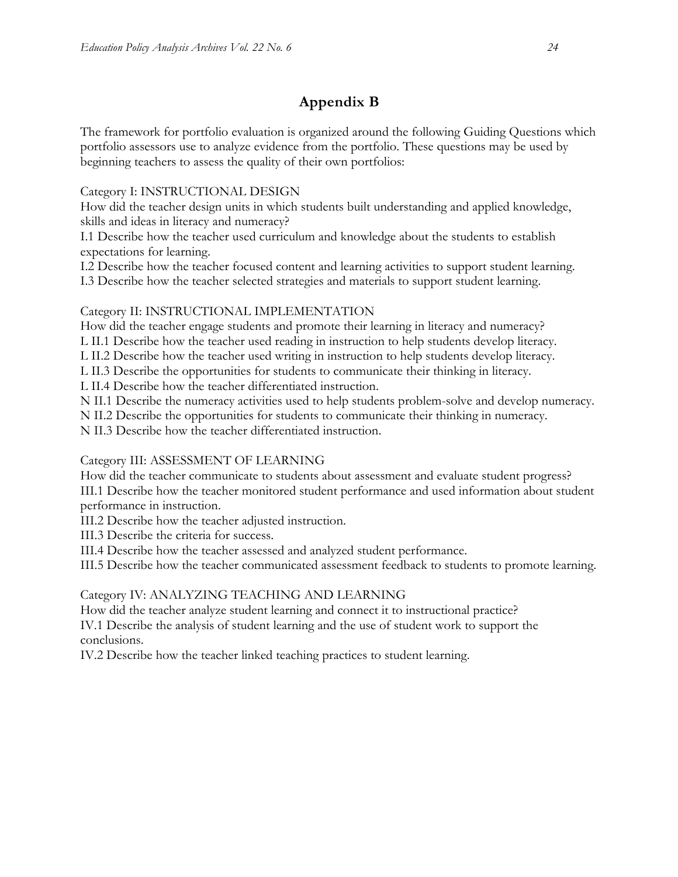# **Appendix B**

The framework for portfolio evaluation is organized around the following Guiding Questions which portfolio assessors use to analyze evidence from the portfolio. These questions may be used by beginning teachers to assess the quality of their own portfolios:

Category I: INSTRUCTIONAL DESIGN

How did the teacher design units in which students built understanding and applied knowledge, skills and ideas in literacy and numeracy?

I.1 Describe how the teacher used curriculum and knowledge about the students to establish expectations for learning.

I.2 Describe how the teacher focused content and learning activities to support student learning. I.3 Describe how the teacher selected strategies and materials to support student learning.

Category II: INSTRUCTIONAL IMPLEMENTATION

How did the teacher engage students and promote their learning in literacy and numeracy? L II.1 Describe how the teacher used reading in instruction to help students develop literacy.

L II.2 Describe how the teacher used writing in instruction to help students develop literacy.

L II.3 Describe the opportunities for students to communicate their thinking in literacy.

L II.4 Describe how the teacher differentiated instruction.

N II.1 Describe the numeracy activities used to help students problem-solve and develop numeracy.

N II.2 Describe the opportunities for students to communicate their thinking in numeracy.

N II.3 Describe how the teacher differentiated instruction.

Category III: ASSESSMENT OF LEARNING

How did the teacher communicate to students about assessment and evaluate student progress? III.1 Describe how the teacher monitored student performance and used information about student performance in instruction.

III.2 Describe how the teacher adjusted instruction.

III.3 Describe the criteria for success.

III.4 Describe how the teacher assessed and analyzed student performance.

III.5 Describe how the teacher communicated assessment feedback to students to promote learning.

Category IV: ANALYZING TEACHING AND LEARNING

How did the teacher analyze student learning and connect it to instructional practice? IV.1 Describe the analysis of student learning and the use of student work to support the conclusions.

IV.2 Describe how the teacher linked teaching practices to student learning.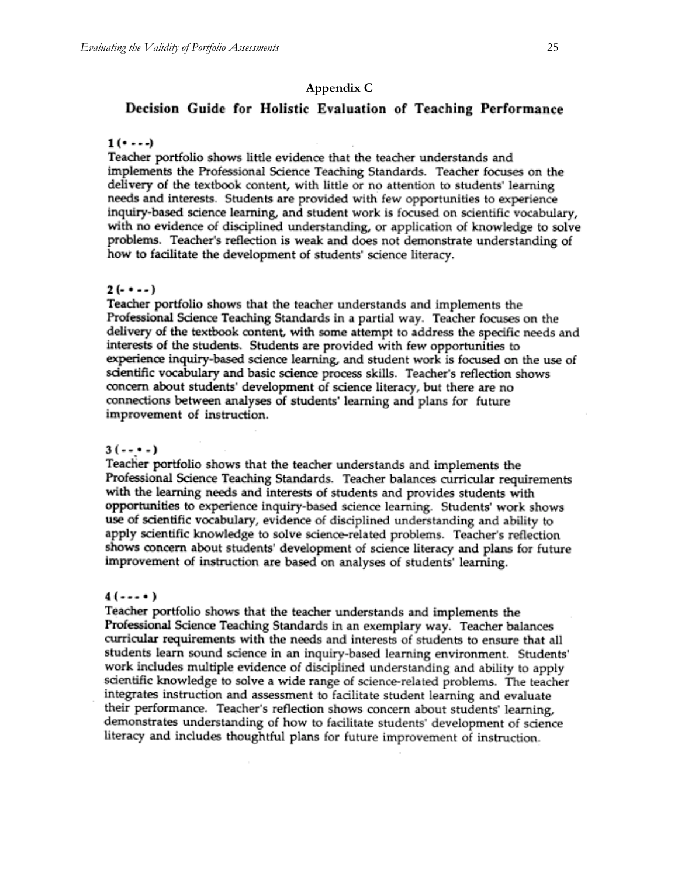### **Appendix C**

# Decision Guide for Holistic Evaluation of Teaching Performance

#### $1($ ...

Teacher portfolio shows little evidence that the teacher understands and implements the Professional Science Teaching Standards. Teacher focuses on the delivery of the textbook content, with little or no attention to students' learning needs and interests. Students are provided with few opportunities to experience inquiry-based science learning, and student work is focused on scientific vocabulary, with no evidence of disciplined understanding, or application of knowledge to solve problems. Teacher's reflection is weak and does not demonstrate understanding of how to facilitate the development of students' science literacy.

#### $2(- \cdot - -)$

Teacher portfolio shows that the teacher understands and implements the Professional Science Teaching Standards in a partial way. Teacher focuses on the delivery of the textbook content, with some attempt to address the specific needs and interests of the students. Students are provided with few opportunities to experience inquiry-based science learning, and student work is focused on the use of scientific vocabulary and basic science process skills. Teacher's reflection shows concern about students' development of science literacy, but there are no connections between analyses of students' learning and plans for future improvement of instruction.

#### $3(- - -)$

Teacher portfolio shows that the teacher understands and implements the Professional Science Teaching Standards. Teacher balances curricular requirements with the learning needs and interests of students and provides students with opportunities to experience inquiry-based science learning. Students' work shows use of scientific vocabulary, evidence of disciplined understanding and ability to apply scientific knowledge to solve science-related problems. Teacher's reflection shows concern about students' development of science literacy and plans for future improvement of instruction are based on analyses of students' learning.

#### $4(--0)$

Teacher portfolio shows that the teacher understands and implements the Professional Science Teaching Standards in an exemplary way. Teacher balances curricular requirements with the needs and interests of students to ensure that all students learn sound science in an inquiry-based learning environment. Students' work includes multiple evidence of disciplined understanding and ability to apply scientific knowledge to solve a wide range of science-related problems. The teacher integrates instruction and assessment to facilitate student learning and evaluate their performance. Teacher's reflection shows concern about students' learning, demonstrates understanding of how to facilitate students' development of science literacy and includes thoughtful plans for future improvement of instruction.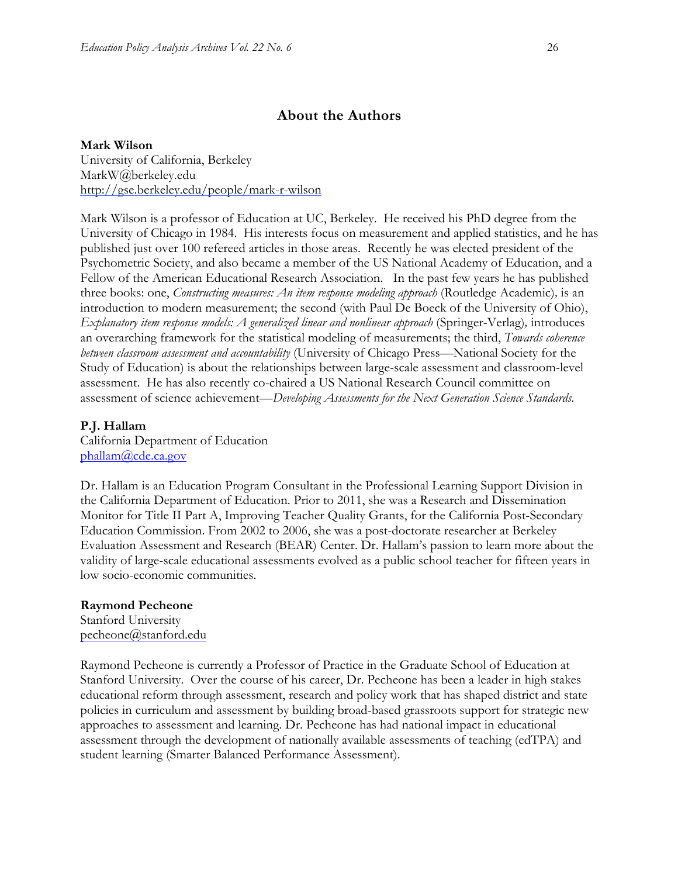# **About the Authors**

### **Mark Wilson**

University of California, Berkeley MarkW@berkeley.edu http://gse.berkeley.edu/people/mark-r-wilson

Mark Wilson is a professor of Education at UC, Berkeley. He received his PhD degree from the University of Chicago in 1984. His interests focus on measurement and applied statistics, and he has published just over 100 refereed articles in those areas. Recently he was elected president of the Psychometric Society, and also became a member of the US National Academy of Education, and a Fellow of the American Educational Research Association. In the past few years he has published three books: one, *Constructing measures: An item response modeling approach* (Routledge Academic)*,* is an introduction to modern measurement; the second (with Paul De Boeck of the University of Ohio), *Explanatory item response models: A generalized linear and nonlinear approach* (Springer-Verlag)*,* introduces an overarching framework for the statistical modeling of measurements; the third, *Towards coherence between classroom assessment and accountability* (University of Chicago Press—National Society for the Study of Education) is about the relationships between large-scale assessment and classroom-level assessment. He has also recently co-chaired a US National Research Council committee on assessment of science achievement—*Developing Assessments for the Next Generation Science Standards.*

# **P.J. Hallam**

California Department of Education phallam@cde.ca.gov

Dr. Hallam is an Education Program Consultant in the Professional Learning Support Division in the California Department of Education. Prior to 2011, she was a Research and Dissemination Monitor for Title II Part A, Improving Teacher Quality Grants, for the California Post-Secondary Education Commission. From 2002 to 2006, she was a post-doctorate researcher at Berkeley Evaluation Assessment and Research (BEAR) Center. Dr. Hallam's passion to learn more about the validity of large-scale educational assessments evolved as a public school teacher for fifteen years in low socio-economic communities.

# **Raymond Pecheone**

Stanford University pecheone@stanford.edu

Raymond Pecheone is currently a Professor of Practice in the Graduate School of Education at Stanford University. Over the course of his career, Dr. Pecheone has been a leader in high stakes educational reform through assessment, research and policy work that has shaped district and state policies in curriculum and assessment by building broad-based grassroots support for strategic new approaches to assessment and learning. Dr. Pecheone has had national impact in educational assessment through the development of nationally available assessments of teaching (edTPA) and student learning (Smarter Balanced Performance Assessment).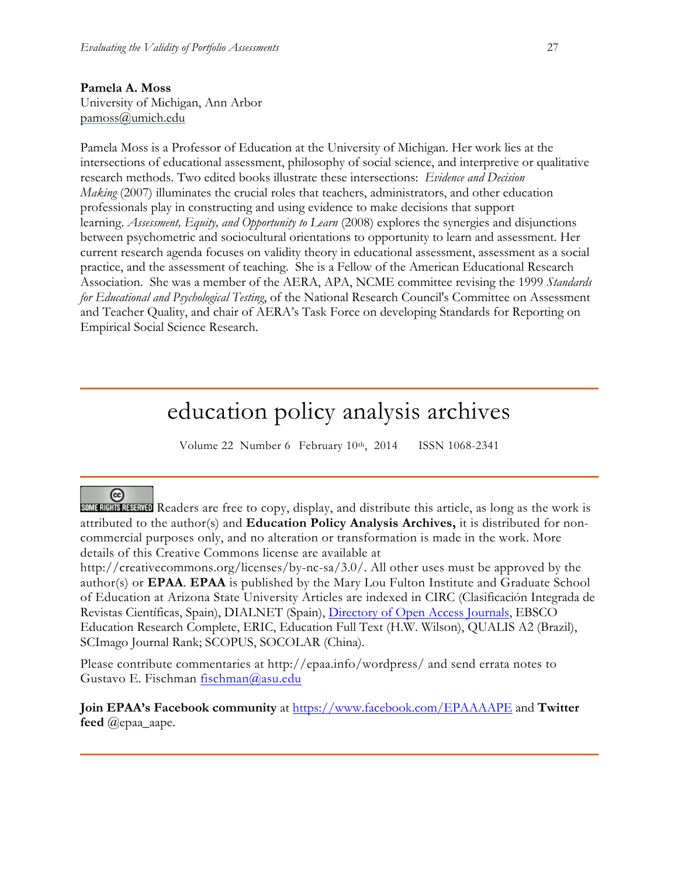# **Pamela A. Moss**

University of Michigan, Ann Arbor pamoss@umich.edu

Pamela Moss is a Professor of Education at the University of Michigan. Her work lies at the intersections of educational assessment, philosophy of social science, and interpretive or qualitative research methods. Two edited books illustrate these intersections: *Evidence and Decision Making* (2007) illuminates the crucial roles that teachers, administrators, and other education professionals play in constructing and using evidence to make decisions that support learning. *Assessment, Equity, and Opportunity to Learn* (2008) explores the synergies and disjunctions between psychometric and sociocultural orientations to opportunity to learn and assessment. Her current research agenda focuses on validity theory in educational assessment, assessment as a social practice, and the assessment of teaching. She is a Fellow of the American Educational Research Association. She was a member of the AERA, APA, NCME committee revising the 1999 *Standards for Educational and Psychological Testing*, of the National Research Council's Committee on Assessment and Teacher Quality, and chair of AERA's Task Force on developing Standards for Reporting on Empirical Social Science Research.

# education policy analysis archives

Volume 22 Number 6 February 10th, 2014 ISSN 1068-2341

# (cc)

SOME RIGHTS RESERVED Readers are free to copy, display, and distribute this article, as long as the work is attributed to the author(s) and **Education Policy Analysis Archives,** it is distributed for noncommercial purposes only, and no alteration or transformation is made in the work. More details of this Creative Commons license are available at

http://creativecommons.org/licenses/by-nc-sa/3.0/. All other uses must be approved by the author(s) or **EPAA**. **EPAA** is published by the Mary Lou Fulton Institute and Graduate School of Education at Arizona State University Articles are indexed in CIRC (Clasificación Integrada de Revistas Científicas, Spain), DIALNET (Spain), Directory of Open Access Journals, EBSCO Education Research Complete, ERIC, Education Full Text (H.W. Wilson), QUALIS A2 (Brazil), SCImago Journal Rank; SCOPUS, SOCOLAR (China).

Please contribute commentaries at http://epaa.info/wordpress/ and send errata notes to Gustavo E. Fischman fischman@asu.edu

**Join EPAA's Facebook community** at https://www.facebook.com/EPAAAAPE and **Twitter feed** @epaa\_aape.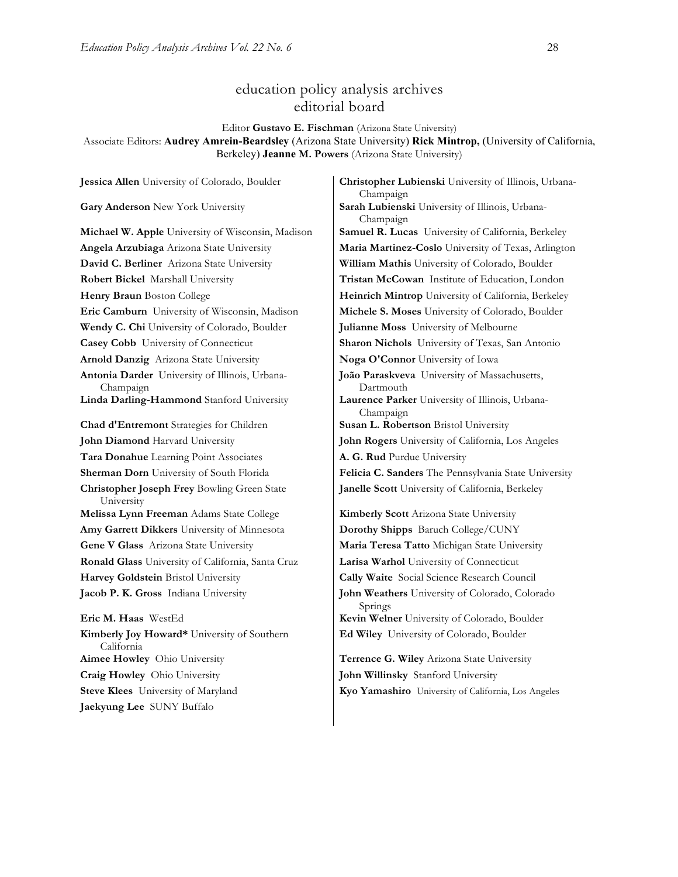# education policy analysis archives editorial board

Editor **Gustavo E. Fischman** (Arizona State University)

Associate Editors: **Audrey Amrein-Beardsley** (Arizona State University) **Rick Mintrop,** (University of California, Berkeley) **Jeanne M. Powers** (Arizona State University)

**Gary Anderson** New York University **Sarah Lubienski** University of Illinois, Urbana-**David C. Berliner** Arizona State University **William Mathis** University of Colorado, Boulder **Wendy C. Chi** University of Colorado, Boulder **Julianne Moss** University of Melbourne **Casey Cobb** University of Connecticut **Sharon Nichols** University of Texas, San Antonio **Arnold Danzig** Arizona State University **Noga O'Connor** University of Iowa **Antonia Darder** University of Illinois, Urbana-Champaign **Linda Darling-Hammond** Stanford University **Laurence Parker** University of Illinois, Urbana-**Chad d'Entremont** Strategies for Children **Susan L. Robertson** Bristol University **John Diamond** Harvard University **John Rogers** University of California, Los Angeles **Tara Donahue** Learning Point Associates **A. G. Rud** Purdue University **Christopher Joseph Frey** Bowling Green State University **Melissa Lynn Freeman** Adams State College **Kimberly Scott** Arizona State University **Amy Garrett Dikkers** University of Minnesota **Dorothy Shipps** Baruch College/CUNY **Gene V Glass** Arizona State University **Maria Teresa Tatto** Michigan State University **Ronald Glass** University of California, Santa Cruz **Larisa Warhol** University of Connecticut **Harvey Goldstein** Bristol University **Cally Waite** Social Science Research Council **Jacob P. K. Gross** Indiana University **John Weathers** University of Colorado, Colorado **Eric M. Haas** WestEd **Kevin Welner** University of Colorado, Boulder **Kimberly Joy Howard\*** University of Southern California **Aimee Howley** Ohio University **Terrence G. Wiley** Arizona State University

**Jaekyung Lee** SUNY Buffalo

**Jessica Allen** University of Colorado, Boulder **Christopher Lubienski** University of Illinois, Urbana-Champaign Champaign **Michael W. Apple** University of Wisconsin, Madison **Samuel R. Lucas** University of California, Berkeley **Angela Arzubiaga** Arizona State University **Maria Martinez-Coslo** University of Texas, Arlington **Robert Bickel** Marshall University **Tristan McCowan** Institute of Education, London **Henry Braun** Boston College **Heinrich Mintrop** University of California, Berkeley **Eric Camburn** University of Wisconsin, Madison **Michele S. Moses** University of Colorado, Boulder **João Paraskveva** University of Massachusetts, Dartmouth Champaign **Sherman Dorn** University of South Florida **Felicia C. Sanders** The Pennsylvania State University **Janelle Scott** University of California, Berkeley Springs

**Ed Wiley** University of Colorado, Boulder

**Craig Howley** Ohio University **John Willinsky** Stanford University **Steve Klees** University of Maryland **Kyo Yamashiro** University of California, Los Angeles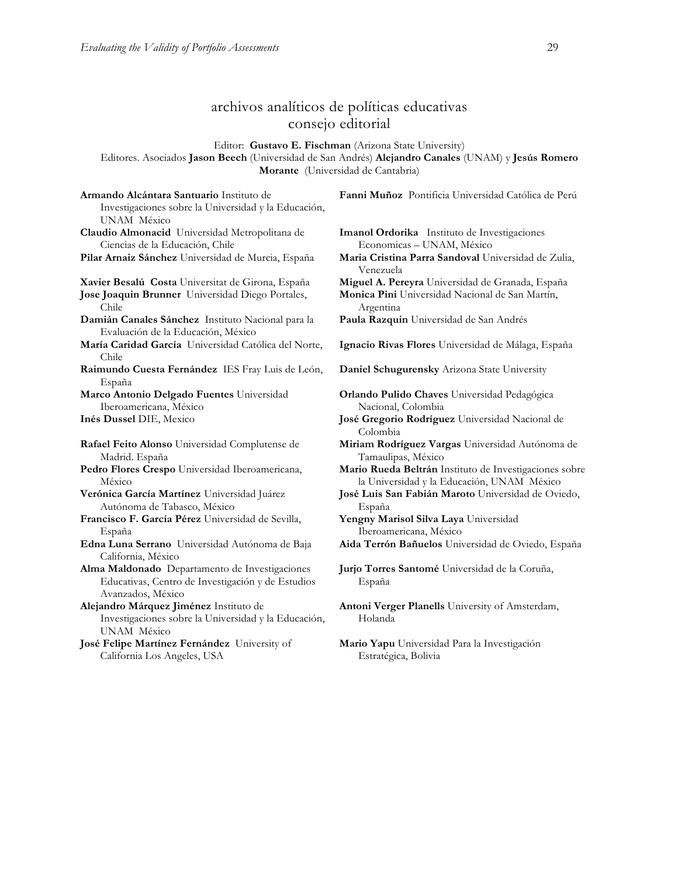California Los Angeles, USA

# archivos analíticos de políticas educativas consejo editorial

Editor: **Gustavo E. Fischman** (Arizona State University)

Editores. Asociados **Jason Beech** (Universidad de San Andrés) **Alejandro Canales** (UNAM) y **Jesús Romero Morante** (Universidad de Cantabria)

**Armando Alcántara Santuario** Instituto de Investigaciones sobre la Universidad y la Educación, UNAM México **Fanni Muñoz** Pontificia Universidad Católica de Perú **Claudio Almonacid** Universidad Metropolitana de Ciencias de la Educación, Chile **Imanol Ordorika** Instituto de Investigaciones Economicas – UNAM, México **Pilar Arnaiz Sánchez** Universidad de Murcia, España **Maria Cristina Parra Sandoval** Universidad de Zulia, Venezuela **Xavier Besalú Costa** Universitat de Girona, España **Miguel A. Pereyra** Universidad de Granada, España **Jose Joaquin Brunner** Universidad Diego Portales, Chile **Monica Pini** Universidad Nacional de San Martín, Argentina **Damián Canales Sánchez** Instituto Nacional para la Evaluación de la Educación, México **Paula Razquin** Universidad de San Andrés **María Caridad García** Universidad Católica del Norte, Chile **Ignacio Rivas Flores** Universidad de Málaga, España **Raimundo Cuesta Fernández** IES Fray Luis de León, España **Daniel Schugurensky** Arizona State University **Marco Antonio Delgado Fuentes** Universidad Iberoamericana, México **Orlando Pulido Chaves** Universidad Pedagógica Nacional, Colombia **Inés Dussel** DIE, Mexico **José Gregorio Rodríguez** Universidad Nacional de Colombia **Rafael Feito Alonso** Universidad Complutense de Madrid. España **Miriam Rodríguez Vargas** Universidad Autónoma de Tamaulipas, México **Pedro Flores Crespo** Universidad Iberoamericana, México **Mario Rueda Beltrán** Instituto de Investigaciones sobre la Universidad y la Educación, UNAM México **Verónica García Martínez** Universidad Juárez Autónoma de Tabasco, México **José Luis San Fabián Maroto** Universidad de Oviedo, España **Francisco F. García Pérez** Universidad de Sevilla, España **Yengny Marisol Silva Laya** Universidad Iberoamericana, México **Edna Luna Serrano** Universidad Autónoma de Baja California, México **Aida Terrón Bañuelos** Universidad de Oviedo, España **Alma Maldonado** Departamento de Investigaciones Educativas, Centro de Investigación y de Estudios Avanzados, México **Jurjo Torres Santomé** Universidad de la Coruña, España **Alejandro Márquez Jiménez** Instituto de Investigaciones sobre la Universidad y la Educación, UNAM México **Antoni Verger Planells** University of Amsterdam, Holanda **José Felipe Martínez Fernández** University of **Mario Yapu** Universidad Para la Investigación

Estratégica, Bolivia